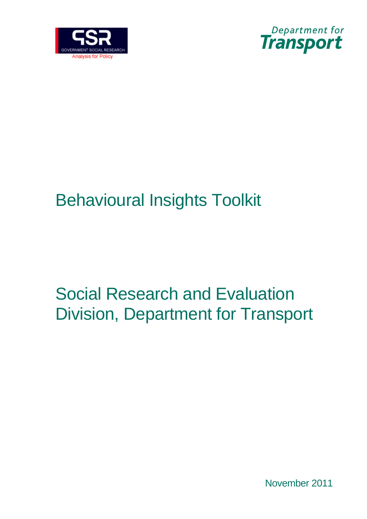



# Behavioural Insights Toolkit

# Social Research and Evaluation Division, Department for Transport

November 2011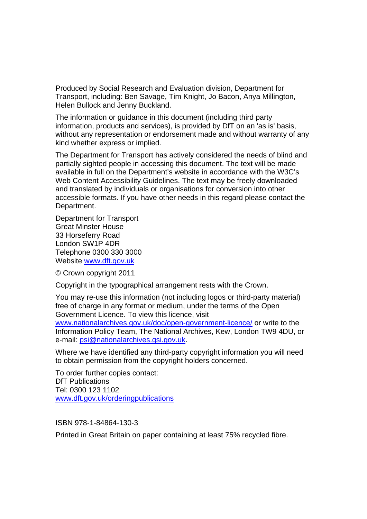Produced by Social Research and Evaluation division, Department for Transport, including: Ben Savage, Tim Knight, Jo Bacon, Anya Millington, Helen Bullock and Jenny Buckland.

The information or guidance in this document (including third party information, products and services), is provided by DfT on an 'as is' basis, without any representation or endorsement made and without warranty of any kind whether express or implied.

The Department for Transport has actively considered the needs of blind and partially sighted people in accessing this document. The text will be made available in full on the Department's website in accordance with the W3C's Web Content Accessibility Guidelines. The text may be freely downloaded and translated by individuals or organisations for conversion into other accessible formats. If you have other needs in this regard please contact the Department.

Department for Transport Great Minster House 33 Horseferry Road London SW1P 4DR Telephone 0300 330 3000 Website [www.dft.gov.uk](http://www.dft.gov.uk/)

© Crown copyright 2011

Copyright in the typographical arrangement rests with the Crown.

You may re-use this information (not including logos or third-party material) free of charge in any format or medium, under the terms of the Open Government Licence. To view this licence, visit

[www.nationalarchives.gov.uk/doc/open-government-licence/](http://www.nationalarchives.gov.uk/doc/open-government-licence/) or write to the Information Policy Team, The National Archives, Kew, London TW9 4DU, or e-mail: [psi@nationalarchives.gsi.gov.uk.](mailto:psi@nationalarchives.gsi.gov.uk)

Where we have identified any third-party copyright information you will need to obtain permission from the copyright holders concerned.

To order further copies contact: DfT Publications Tel: 0300 123 1102 [www.dft.gov.uk/orderingpublications](http://www.dft.gov.uk/orderingpublications)

ISBN 978-1-84864-130-3

Printed in Great Britain on paper containing at least 75% recycled fibre.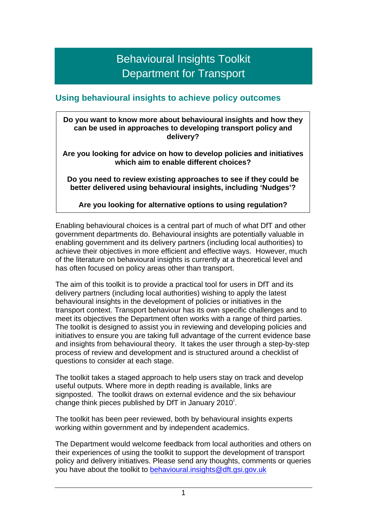## Behavioural Insights Toolkit Department for Transport

## **Using behavioural insights to achieve policy outcomes**

**Do you want to know more about behavioural insights and how they can be used in approaches to developing transport policy and delivery?** 

**Are you looking for advice on how to develop policies and initiatives which aim to enable different choices?** 

**Do you need to review existing approaches to see if they could be better delivered using behavioural insights, including 'Nudges'?** 

**Are you looking for alternative options to using regulation?** 

Enabling behavioural choices is a central part of much of what DfT and other government departments do. Behavioural insights are potentially valuable in enabling government and its delivery partners (including local authorities) to achieve their objectives in more efficient and effective ways. However, much of the literature on behavioural insights is currently at a theoretical level and has often focused on policy areas other than transport.

The aim of this toolkit is to provide a practical tool for users in DfT and its delivery partners (including local authorities) wishing to apply the latest behavioural insights in the development of policies or initiatives in the transport context. Transport behaviour has its own specific challenges and to meet its objectives the Department often works with a range of third parties. The toolkit is designed to assist you in reviewing and developing policies and initiatives to ensure you are taking full advantage of the current evidence base and insights from behavioural theory. It takes the user through a step-by-step process of review and development and is structured around a checklist of questions to consider at each stage.

The toolkit takes a staged approach to help users stay on track and develop useful outputs. Where more in depth reading is available, links are signposted. The toolkit draws on external evidence and the six behaviour change th[i](#page-60-0)nk pieces published by DfT in January 2010<sup>i</sup>.

The toolkit has been peer reviewed, both by behavioural insights experts working within government and by independent academics.

The Department would welcome feedback from local authorities and others on their experiences of using the toolkit to support the development of transport policy and delivery initiatives. Please send any thoughts, comments or queries you have about the toolkit to [behavioural.insights@dft.gsi.gov.uk](mailto:behavioural.insights@dft.gsi.gov.uk)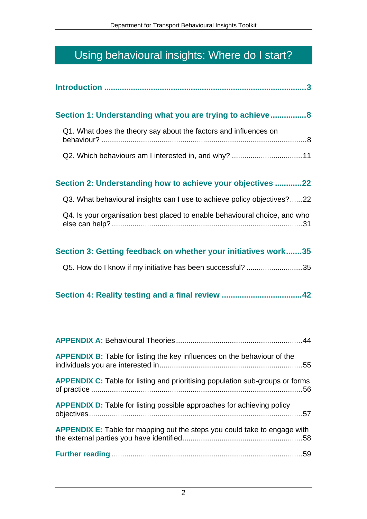## Using behavioural insights: Where do I start?

| Section 1: Understanding what you are trying to achieve 8                            |
|--------------------------------------------------------------------------------------|
| Q1. What does the theory say about the factors and influences on                     |
| Q2. Which behaviours am I interested in, and why? 11                                 |
| Section 2: Understanding how to achieve your objectives 22                           |
| Q3. What behavioural insights can I use to achieve policy objectives?22              |
| Q4. Is your organisation best placed to enable behavioural choice, and who           |
| Section 3: Getting feedback on whether your initiatives work35                       |
| Q5. How do I know if my initiative has been successful? 35                           |
|                                                                                      |
|                                                                                      |
| <b>APPENDIX B:</b> Table for listing the key influences on the behaviour of the      |
| <b>APPENDIX C:</b> Table for listing and prioritising population sub-groups or forms |
| <b>APPENDIX D:</b> Table for listing possible approaches for achieving policy        |
| APPENDIX E: Table for mapping out the steps you could take to engage with            |
|                                                                                      |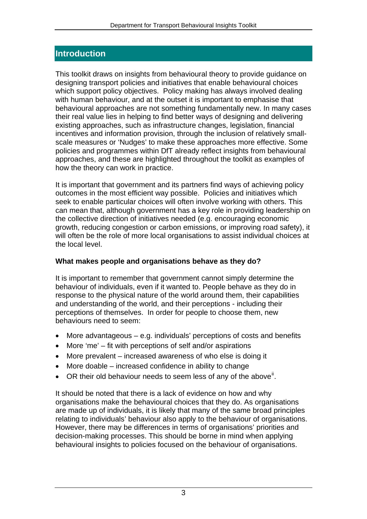## <span id="page-4-0"></span>**Introduction**

This toolkit draws on insights from behavioural theory to provide guidance on designing transport policies and initiatives that enable behavioural choices which support policy objectives. Policy making has always involved dealing with human behaviour, and at the outset it is important to emphasise that behavioural approaches are not something fundamentally new. In many cases their real value lies in helping to find better ways of designing and delivering existing approaches, such as infrastructure changes, legislation, financial incentives and information provision, through the inclusion of relatively smallscale measures or 'Nudges' to make these approaches more effective. Some policies and programmes within DfT already reflect insights from behavioural approaches, and these are highlighted throughout the toolkit as examples of how the theory can work in practice.

It is important that government and its partners find ways of achieving policy outcomes in the most efficient way possible. Policies and initiatives which seek to enable particular choices will often involve working with others. This can mean that, although government has a key role in providing leadership on the collective direction of initiatives needed (e.g. encouraging economic growth, reducing congestion or carbon emissions, or improving road safety), it will often be the role of more local organisations to assist individual choices at the local level.

## **What makes people and organisations behave as they do?**

It is important to remember that government cannot simply determine the behaviour of individuals, even if it wanted to. People behave as they do in response to the physical nature of the world around them, their capabilities and understanding of the world, and their perceptions - including their perceptions of themselves. In order for people to choose them, new behaviours need to seem:

- More advantageous e.g. individuals' perceptions of costs and benefits
- More 'me' fit with perceptions of self and/or aspirations
- More prevalent increased awareness of who else is doing it
- More doable increased confidence in ability to change
- $\bullet$  OR their old behaviour needs to seem less of any of the above<sup>[ii](#page-60-2)</sup>.

It should be noted that there is a lack of evidence on how and why organisations make the behavioural choices that they do. As organisations are made up of individuals, it is likely that many of the same broad principles relating to individuals' behaviour also apply to the behaviour of organisations. However, there may be differences in terms of organisations' priorities and decision-making processes. This should be borne in mind when applying behavioural insights to policies focused on the behaviour of organisations.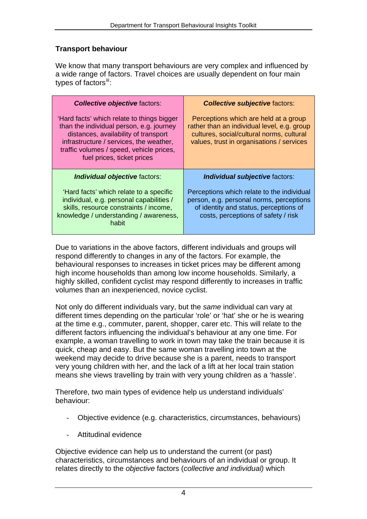## **Transport behaviour**

We know that many transport behaviours are very complex and influenced by a wide range of factors. Travel choices are usually dependent on four main types of factors $\mathbf{u}$ :

| <b>Collective objective factors:</b>                                                                                                                                                                                                                | <b>Collective subjective factors:</b>                                                                                                                                          |
|-----------------------------------------------------------------------------------------------------------------------------------------------------------------------------------------------------------------------------------------------------|--------------------------------------------------------------------------------------------------------------------------------------------------------------------------------|
| 'Hard facts' which relate to things bigger<br>than the individual person, e.g. journey<br>distances, availability of transport<br>infrastructure / services, the weather,<br>traffic volumes / speed, vehicle prices,<br>fuel prices, ticket prices | Perceptions which are held at a group<br>rather than an individual level, e.g. group<br>cultures, social/cultural norms, cultural<br>values, trust in organisations / services |
| Individual objective factors:                                                                                                                                                                                                                       | Individual subjective factors:                                                                                                                                                 |
| 'Hard facts' which relate to a specific<br>individual, e.g. personal capabilities /<br>skills, resource constraints / income,<br>knowledge / understanding / awareness,<br>habit                                                                    | Perceptions which relate to the individual<br>person, e.g. personal norms, perceptions<br>of identity and status, perceptions of<br>costs, perceptions of safety / risk        |

Due to variations in the above factors, different individuals and groups will respond differently to changes in any of the factors. For example, the behavioural responses to increases in ticket prices may be different among high income households than among low income households. Similarly, a highly skilled, confident cyclist may respond differently to increases in traffic volumes than an inexperienced, novice cyclist.

Not only do different individuals vary, but the *same* individual can vary at different times depending on the particular 'role' or 'hat' she or he is wearing at the time e.g., commuter, parent, shopper, carer etc. This will relate to the different factors influencing the individual's behaviour at any one time. For example, a woman travelling to work in town may take the train because it is quick, cheap and easy. But the same woman travelling into town at the weekend may decide to drive because she is a parent, needs to transport very young children with her, and the lack of a lift at her local train station means she views travelling by train with very young children as a 'hassle'.

Therefore, two main types of evidence help us understand individuals' behaviour:

- Objective evidence (e.g. characteristics, circumstances, behaviours)
- Attitudinal evidence

Objective evidence can help us to understand the current (or past) characteristics, circumstances and behaviours of an individual or group. It relates directly to the *objective* factors (*collective and individual)* which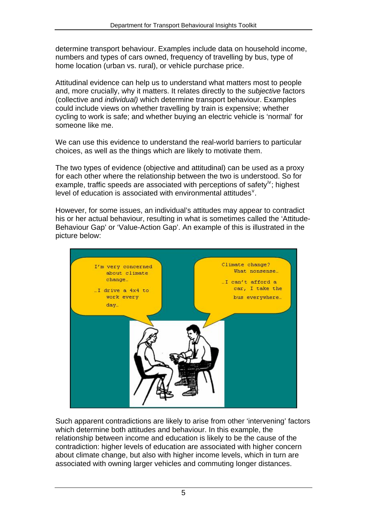determine transport behaviour. Examples include data on household income, numbers and types of cars owned, frequency of travelling by bus, type of home location (urban vs. rural), or vehicle purchase price.

Attitudinal evidence can help us to understand what matters most to people and, more crucially, why it matters. It relates directly to the *subjective* factors (collective and *individual)* which determine transport behaviour. Examples could include views on whether travelling by train is expensive; whether cycling to work is safe; and whether buying an electric vehicle is 'normal' for someone like me.

We can use this evidence to understand the real-world barriers to particular choices, as well as the things which are likely to motivate them.

The two types of evidence (objective and attitudinal) can be used as a proxy for each other where the relationship between the two is understood. So for example, traffic speeds are associated with perceptions of safety<sup>[iv](#page-60-4)</sup>; highest le[v](#page-60-5)el of education is associated with environmental attitudes<sup>v</sup>.

However, for some issues, an individual's attitudes may appear to contradict his or her actual behaviour, resulting in what is sometimes called the 'Attitude-Behaviour Gap' or 'Value-Action Gap'. An example of this is illustrated in the picture below:



Such apparent contradictions are likely to arise from other 'intervening' factors which determine both attitudes and behaviour. In this example, the relationship between income and education is likely to be the cause of the contradiction: higher levels of education are associated with higher concern about climate change, but also with higher income levels, which in turn are associated with owning larger vehicles and commuting longer distances.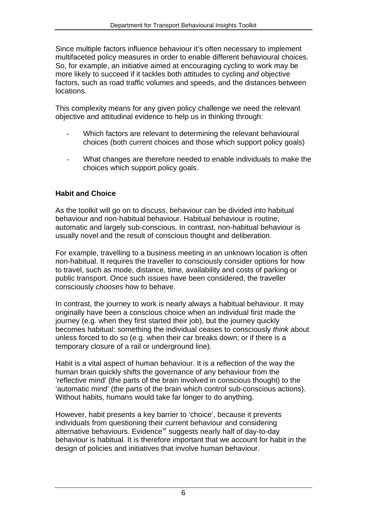Since multiple factors influence behaviour it's often necessary to implement multifaceted policy measures in order to enable different behavioural choices. So, for example, an initiative aimed at encouraging cycling to work may be more likely to succeed if it tackles both attitudes to cycling *and* objective factors, such as road traffic volumes and speeds, and the distances between locations.

This complexity means for any given policy challenge we need the relevant objective and attitudinal evidence to help us in thinking through:

- Which factors are relevant to determining the relevant behavioural choices (both current choices and those which support policy goals)
- What changes are therefore needed to enable individuals to make the choices which support policy goals.

## **Habit and Choice**

As the toolkit will go on to discuss, behaviour can be divided into habitual behaviour and non-habitual behaviour. Habitual behaviour is routine, automatic and largely sub-conscious. In contrast, non-habitual behaviour is usually novel and the result of conscious thought and deliberation.

For example, travelling to a business meeting in an unknown location is often non-habitual. It requires the traveller to consciously consider options for how to travel, such as mode, distance, time, availability and costs of parking or public transport. Once such issues have been considered, the traveller consciously *chooses* how to behave.

In contrast, the journey to work is nearly always a habitual behaviour. It may originally have been a conscious choice when an individual first made the journey (e.g. when they first started their job), but the journey quickly becomes habitual: something the individual ceases to consciously *think* about unless forced to do so (e.g. when their car breaks down; or if there is a temporary closure of a rail or underground line).

Habit is a vital aspect of human behaviour. It is a reflection of the way the human brain quickly shifts the governance of any behaviour from the 'reflective mind' (the parts of the brain involved in conscious thought) to the 'automatic mind' (the parts of the brain which control sub-conscious actions). Without habits, humans would take far longer to do anything.

However, habit presents a key barrier to 'choice', because it prevents individuals from questioning their current behaviour and considering alternative beha[vi](#page-60-6)ours. Evidence<sup>vi</sup> suggests nearly half of day-to-day behaviour is habitual. It is therefore important that we account for habit in the design of policies and initiatives that involve human behaviour.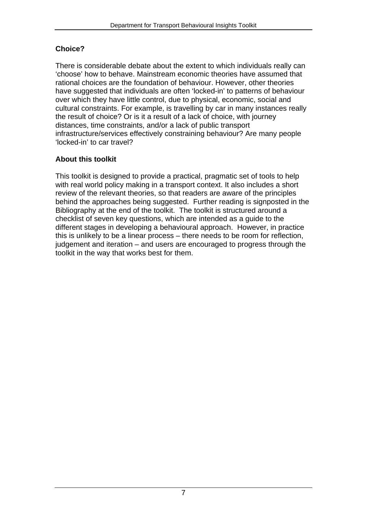## **Choice?**

There is considerable debate about the extent to which individuals really can 'choose' how to behave. Mainstream economic theories have assumed that rational choices are the foundation of behaviour. However, other theories have suggested that individuals are often 'locked-in' to patterns of behaviour over which they have little control, due to physical, economic, social and cultural constraints. For example, is travelling by car in many instances really the result of choice? Or is it a result of a lack of choice, with journey distances, time constraints, and/or a lack of public transport infrastructure/services effectively constraining behaviour? Are many people 'locked-in' to car travel?

## **About this toolkit**

This toolkit is designed to provide a practical, pragmatic set of tools to help with real world policy making in a transport context. It also includes a short review of the relevant theories, so that readers are aware of the principles behind the approaches being suggested. Further reading is signposted in the Bibliography at the end of the toolkit. The toolkit is structured around a checklist of seven key questions, which are intended as a guide to the different stages in developing a behavioural approach. However, in practice this is unlikely to be a linear process – there needs to be room for reflection, judgement and iteration – and users are encouraged to progress through the toolkit in the way that works best for them.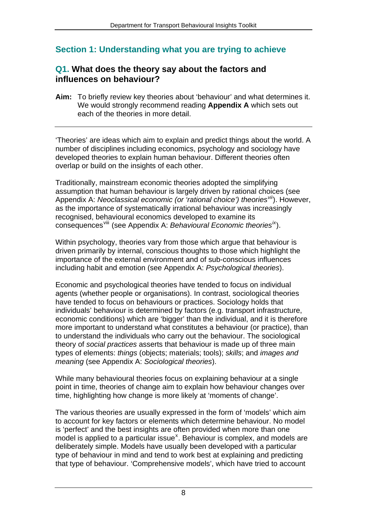## <span id="page-9-0"></span>**Section 1: Understanding what you are trying to achieve**

## <span id="page-9-1"></span>**Q1. What does the theory say about the factors and influences on behaviour?**

**Aim:** To briefly review key theories about 'behaviour' and what determines it. We would strongly recommend reading **Appendix A** which sets out each of the theories in more detail.

'Theories' are ideas which aim to explain and predict things about the world. A number of disciplines including economics, psychology and sociology have developed theories to explain human behaviour. Different theories often overlap or build on the insights of each other.

Traditionally, mainstream economic theories adopted the simplifying assumption that human behaviour is largely driven by rational choices (see Appendix A: *Neoclassical economic (or 'rational choice') theories[vii](#page-60-7)*). However, as the importance of systematically irrational behaviour was increasingly recognised, behavioural economics developed to examine its consequences<sup>[viii](#page-60-8)</sup> (see Appendix A: *Behavioural Economic theories<sup>ix</sup>*).

Within psychology, theories vary from those which argue that behaviour is driven primarily by internal, conscious thoughts to those which highlight the importance of the external environment and of sub-conscious influences including habit and emotion (see Appendix A: *Psychological theories*).

Economic and psychological theories have tended to focus on individual agents (whether people or organisations). In contrast, sociological theories have tended to focus on behaviours or practices. Sociology holds that individuals' behaviour is determined by factors (e.g. transport infrastructure, economic conditions) which are 'bigger' than the individual, and it is therefore more important to understand what constitutes a behaviour (or practice), than to understand the individuals who carry out the behaviour. The sociological theory of *social practices* asserts that behaviour is made up of three main types of elements: *things* (objects; materials; tools); *skills*; and *images and meaning* (see Appendix A: *Sociological theories*).

While many behavioural theories focus on explaining behaviour at a single point in time, theories of change aim to explain how behaviour changes over time, highlighting how change is more likely at 'moments of change'.

The various theories are usually expressed in the form of 'models' which aim to account for key factors or elements which determine behaviour. No model is 'perfect' and the best insights are often provided when more than one model is applied to a particular issue<sup>[x](#page-60-9)</sup>. Behaviour is complex, and models are deliberately simple. Models have usually been developed with a particular type of behaviour in mind and tend to work best at explaining and predicting that type of behaviour. 'Comprehensive models', which have tried to account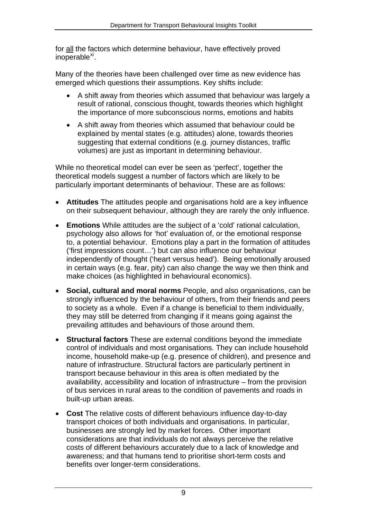for all the factors which determine behaviour, have effectively proved inoperable<sup>[xi](#page-60-10)</sup>.

Many of the theories have been challenged over time as new evidence has emerged which questions their assumptions. Key shifts include:

- A shift away from theories which assumed that behaviour was largely a result of rational, conscious thought, towards theories which highlight the importance of more subconscious norms, emotions and habits
- A shift away from theories which assumed that behaviour could be explained by mental states (e.g. attitudes) alone, towards theories suggesting that external conditions (e.g. journey distances, traffic volumes) are just as important in determining behaviour.

While no theoretical model can ever be seen as 'perfect', together the theoretical models suggest a number of factors which are likely to be particularly important determinants of behaviour. These are as follows:

- **Attitudes** The attitudes people and organisations hold are a key influence on their subsequent behaviour, although they are rarely the only influence.
- **Emotions** While attitudes are the subject of a 'cold' rational calculation, psychology also allows for 'hot' evaluation of, or the emotional response to, a potential behaviour. Emotions play a part in the formation of attitudes ('first impressions count…') but can also influence our behaviour independently of thought ('heart versus head'). Being emotionally aroused in certain ways (e.g. fear, pity) can also change the way we then think and make choices (as highlighted in behavioural economics).
- **Social, cultural and moral norms** People, and also organisations, can be strongly influenced by the behaviour of others, from their friends and peers to society as a whole. Even if a change is beneficial to them individually, they may still be deterred from changing if it means going against the prevailing attitudes and behaviours of those around them.
- **Structural factors** These are external conditions beyond the immediate control of individuals and most organisations. They can include household income, household make-up (e.g. presence of children), and presence and nature of infrastructure. Structural factors are particularly pertinent in transport because behaviour in this area is often mediated by the availability, accessibility and location of infrastructure – from the provision of bus services in rural areas to the condition of pavements and roads in built-up urban areas.
- **Cost** The relative costs of different behaviours influence day-to-day transport choices of both individuals and organisations. In particular, businesses are strongly led by market forces. Other important considerations are that individuals do not always perceive the relative costs of different behaviours accurately due to a lack of knowledge and awareness; and that humans tend to prioritise short-term costs and benefits over longer-term considerations.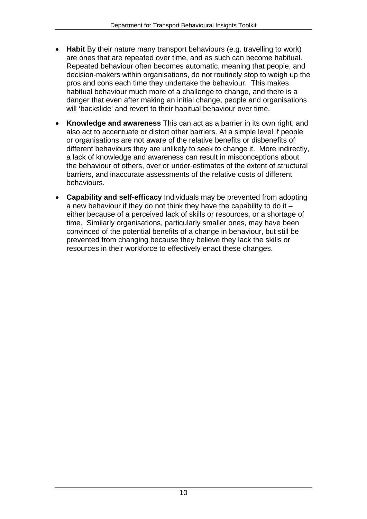- **Habit** By their nature many transport behaviours (e.g. travelling to work) are ones that are repeated over time, and as such can become habitual. Repeated behaviour often becomes automatic, meaning that people, and decision-makers within organisations, do not routinely stop to weigh up the pros and cons each time they undertake the behaviour. This makes habitual behaviour much more of a challenge to change, and there is a danger that even after making an initial change, people and organisations will 'backslide' and revert to their habitual behaviour over time.
- **Knowledge and awareness** This can act as a barrier in its own right, and also act to accentuate or distort other barriers. At a simple level if people or organisations are not aware of the relative benefits or disbenefits of different behaviours they are unlikely to seek to change it. More indirectly, a lack of knowledge and awareness can result in misconceptions about the behaviour of others, over or under-estimates of the extent of structural barriers, and inaccurate assessments of the relative costs of different behaviours.
- **Capability and self-efficacy** Individuals may be prevented from adopting a new behaviour if they do not think they have the capability to do it – either because of a perceived lack of skills or resources, or a shortage of time. Similarly organisations, particularly smaller ones, may have been convinced of the potential benefits of a change in behaviour, but still be prevented from changing because they believe they lack the skills or resources in their workforce to effectively enact these changes.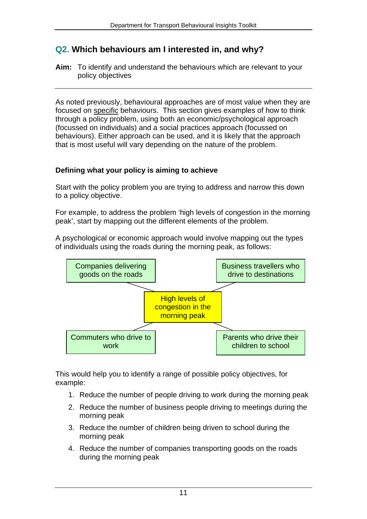## <span id="page-12-0"></span>**Q2. Which behaviours am I interested in, and why?**

**Aim:** To identify and understand the behaviours which are relevant to your policy objectives

As noted previously, behavioural approaches are of most value when they are focused on specific behaviours. This section gives examples of how to think through a policy problem, using both an economic/psychological approach (focussed on individuals) and a social practices approach (focussed on behaviours). Either approach can be used, and it is likely that the approach that is most useful will vary depending on the nature of the problem.

## **Defining what your policy is aiming to achieve**

Start with the policy problem you are trying to address and narrow this down to a policy objective.

For example, to address the problem 'high levels of congestion in the morning peak', start by mapping out the different elements of the problem.

A psychological or economic approach would involve mapping out the types of individuals using the roads during the morning peak, as follows:



This would help you to identify a range of possible policy objectives, for example:

- 1. Reduce the number of people driving to work during the morning peak
- 2. Reduce the number of business people driving to meetings during the morning peak
- 3. Reduce the number of children being driven to school during the morning peak
- 4. Reduce the number of companies transporting goods on the roads during the morning peak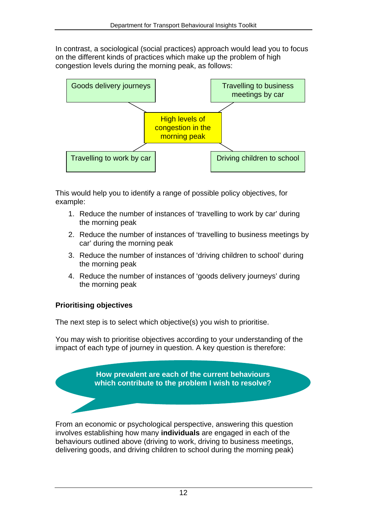In contrast, a sociological (social practices) approach would lead you to focus on the different kinds of practices which make up the problem of high congestion levels during the morning peak, as follows:



This would help you to identify a range of possible policy objectives, for example:

- 1. Reduce the number of instances of 'travelling to work by car' during the morning peak
- 2. Reduce the number of instances of 'travelling to business meetings by car' during the morning peak
- 3. Reduce the number of instances of 'driving children to school' during the morning peak
- 4. Reduce the number of instances of 'goods delivery journeys' during the morning peak

## **Prioritising objectives**

The next step is to select which objective(s) you wish to prioritise.

You may wish to prioritise objectives according to your understanding of the impact of each type of journey in question. A key question is therefore:

> **How prevalent are each of the current behaviours which contribute to the problem I wish to resolve?**

From an economic or psychological perspective, answering this question involves establishing how many **individuals** are engaged in each of the behaviours outlined above (driving to work, driving to business meetings, delivering goods, and driving children to school during the morning peak)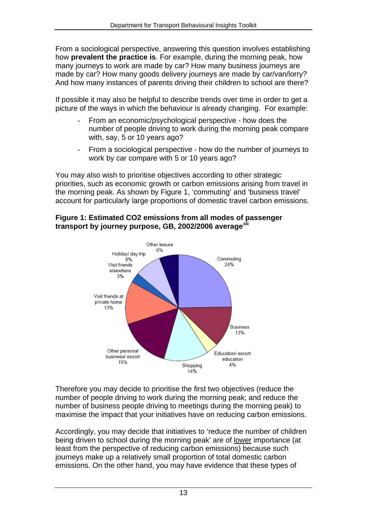From a sociological perspective, answering this question involves establishing how **prevalent the practice is**. For example, during the morning peak, how many journeys to work are made by car? How many business journeys are made by car? How many goods delivery journeys are made by car/van/lorry? And how many instances of parents driving their children to school are there?

If possible it may also be helpful to describe trends over time in order to get a picture of the ways in which the behaviour is already changing. For example:

- From an economic/psychological perspective how does the number of people driving to work during the morning peak compare with, say, 5 or 10 years ago?
- From a sociological perspective how do the number of journeys to work by car compare with 5 or 10 years ago?

You may also wish to prioritise objectives according to other strategic priorities, such as economic growth or carbon emissions arising from travel in the morning peak. As shown by Figure 1, 'commuting' and 'business travel' account for particularly large proportions of domestic travel carbon emissions.

#### **Figure 1: Estimated CO2 emissions from all modes of passenger transport by journey purpose, GB, 2002/2006 average[xii](#page-60-11)**



Therefore you may decide to prioritise the first two objectives (reduce the number of people driving to work during the morning peak; and reduce the number of business people driving to meetings during the morning peak) to maximise the impact that your initiatives have on reducing carbon emissions.

Accordingly, you may decide that initiatives to 'reduce the number of children being driven to school during the morning peak' are of lower importance (at least from the perspective of reducing carbon emissions) because such journeys make up a relatively small proportion of total domestic carbon emissions. On the other hand, you may have evidence that these types of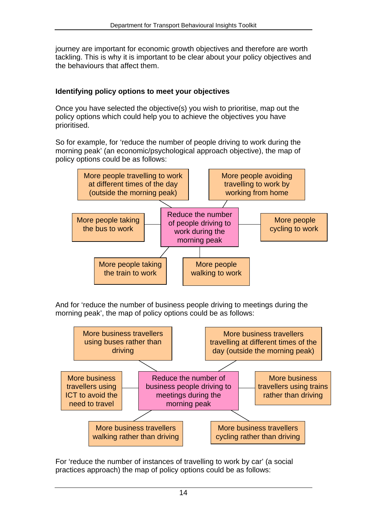journey are important for economic growth objectives and therefore are worth tackling. This is why it is important to be clear about your policy objectives and the behaviours that affect them.

## **Identifying policy options to meet your objectives**

Once you have selected the objective(s) you wish to prioritise, map out the policy options which could help you to achieve the objectives you have prioritised.

So for example, for 'reduce the number of people driving to work during the morning peak' (an economic/psychological approach objective), the map of policy options could be as follows:



And for 'reduce the number of business people driving to meetings during the morning peak', the map of policy options could be as follows:



For 'reduce the number of instances of travelling to work by car' (a social practices approach) the map of policy options could be as follows: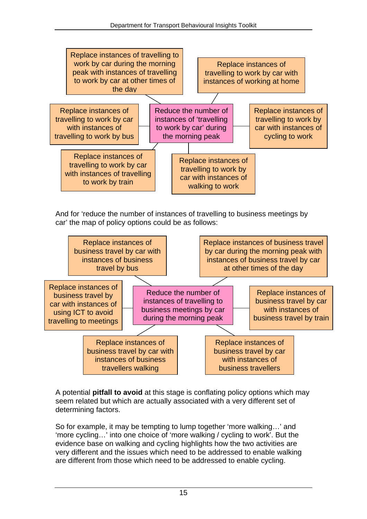

And for 'reduce the number of instances of travelling to business meetings by car' the map of policy options could be as follows:



A potential **pitfall to avoid** at this stage is conflating policy options which may seem related but which are actually associated with a very different set of determining factors.

So for example, it may be tempting to lump together 'more walking…' and 'more cycling…' into one choice of 'more walking / cycling to work'. But the evidence base on walking and cycling highlights how the two activities are very different and the issues which need to be addressed to enable walking are different from those which need to be addressed to enable cycling.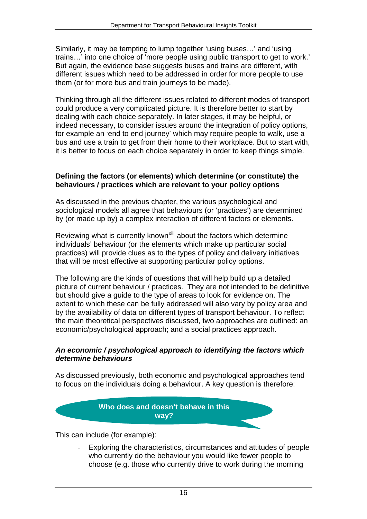Similarly, it may be tempting to lump together 'using buses…' and 'using trains…' into one choice of 'more people using public transport to get to work.' But again, the evidence base suggests buses and trains are different, with different issues which need to be addressed in order for more people to use them (or for more bus and train journeys to be made).

Thinking through all the different issues related to different modes of transport could produce a very complicated picture. It is therefore better to start by dealing with each choice separately. In later stages, it may be helpful, or indeed necessary, to consider issues around the integration of policy options, for example an 'end to end journey' which may require people to walk, use a bus and use a train to get from their home to their workplace. But to start with, it is better to focus on each choice separately in order to keep things simple.

#### **Defining the factors (or elements) which determine (or constitute) the behaviours / practices which are relevant to your policy options**

As discussed in the previous chapter, the various psychological and sociological models all agree that behaviours (or 'practices') are determined by (or made up by) a complex interaction of different factors or elements.

Reviewing what is currently known<sup>[xiii](#page-60-12)</sup> about the factors which determine individuals' behaviour (or the elements which make up particular social practices) will provide clues as to the types of policy and delivery initiatives that will be most effective at supporting particular policy options.

The following are the kinds of questions that will help build up a detailed picture of current behaviour / practices. They are not intended to be definitive but should give a guide to the type of areas to look for evidence on. The extent to which these can be fully addressed will also vary by policy area and by the availability of data on different types of transport behaviour. To reflect the main theoretical perspectives discussed, two approaches are outlined: an economic/psychological approach; and a social practices approach.

#### *An economic / psychological approach to identifying the factors which determine behaviours*

As discussed previously, both economic and psychological approaches tend to focus on the individuals doing a behaviour. A key question is therefore:

## **Who does and doesn't behave in this way?**

This can include (for example):

Exploring the characteristics, circumstances and attitudes of people who currently do the behaviour you would like fewer people to choose (e.g. those who currently drive to work during the morning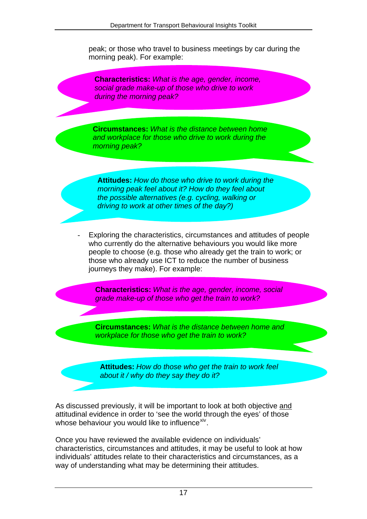peak; or those who travel to business meetings by car during the morning peak). For example:

**Characteristics:** *What is the age, gender, income, social grade make-up of those who drive to work during the morning peak?* 

**Circumstances:** *What is the distance between home and workplace for those who drive to work during the morning peak?* 

**Attitudes:** *How do those who drive to work during the morning peak feel about it? How do they feel about the possible alternatives (e.g. cycling, walking or driving to work at other times of the day?)* 

Exploring the characteristics, circumstances and attitudes of people who currently do the alternative behaviours you would like more people to choose (e.g. those who already get the train to work; or those who already use ICT to reduce the number of business journeys they make). For example:

**Characteristics:** *What is the age, gender, income, social grade make-up of those who get the train to work?* 

**Circumstances:** *What is the distance between home and workplace for those who get the train to work?* 

**Attitudes:** *How do those who get the train to work feel about it / why do they say they do it?* 

As discussed previously, it will be important to look at both objective and attitudinal evidence in order to 'see the world through the eyes' of those whose behaviour you would like to influence<sup>[xiv](#page-61-0)</sup>.

Once you have reviewed the available evidence on individuals' characteristics, circumstances and attitudes, it may be useful to look at how individuals' attitudes relate to their characteristics and circumstances, as a way of understanding what may be determining their attitudes.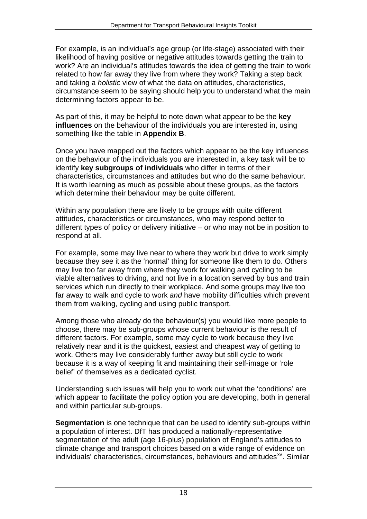For example, is an individual's age group (or life-stage) associated with their likelihood of having positive or negative attitudes towards getting the train to work? Are an individual's attitudes towards the idea of getting the train to work related to how far away they live from where they work? Taking a step back and taking a *holistic* view of what the data on attitudes, characteristics, circumstance seem to be saying should help you to understand what the main determining factors appear to be.

As part of this, it may be helpful to note down what appear to be the **key influences** on the behaviour of the individuals you are interested in, using something like the table in **Appendix B**.

Once you have mapped out the factors which appear to be the key influences on the behaviour of the individuals you are interested in, a key task will be to identify **key subgroups of individuals** who differ in terms of their characteristics, circumstances and attitudes but who do the same behaviour. It is worth learning as much as possible about these groups, as the factors which determine their behaviour may be quite different.

Within any population there are likely to be groups with quite different attitudes, characteristics or circumstances, who may respond better to different types of policy or delivery initiative – or who may not be in position to respond at all.

For example, some may live near to where they work but drive to work simply because they see it as the 'normal' thing for someone like them to do. Others may live too far away from where they work for walking and cycling to be viable alternatives to driving, and not live in a location served by bus and train services which run directly to their workplace. And some groups may live too far away to walk and cycle to work *and* have mobility difficulties which prevent them from walking, cycling and using public transport.

Among those who already do the behaviour(s) you would like more people to choose, there may be sub-groups whose current behaviour is the result of different factors. For example, some may cycle to work because they live relatively near and it is the quickest, easiest and cheapest way of getting to work. Others may live considerably further away but still cycle to work because it is a way of keeping fit and maintaining their self-image or 'role belief' of themselves as a dedicated cyclist.

Understanding such issues will help you to work out what the 'conditions' are which appear to facilitate the policy option you are developing, both in general and within particular sub-groups.

**Segmentation** is one technique that can be used to identify sub-groups within a population of interest. DfT has produced a nationally-representative segmentation of the adult (age 16-plus) population of England's attitudes to climate change and transport choices based on a wide range of evidence on individuals' characteristics, circumstances, behaviours and attitudes<sup>xy</sup>. Similar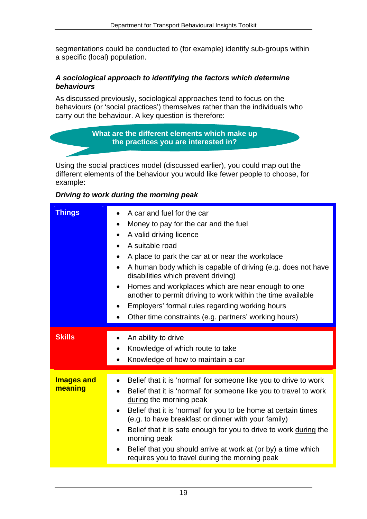segmentations could be conducted to (for example) identify sub-groups within a specific (local) population.

#### *A sociological approach to identifying the factors which determine behaviours*

As discussed previously, sociological approaches tend to focus on the behaviours (or 'social practices') themselves rather than the individuals who carry out the behaviour. A key question is therefore:

#### **What are the different elements which make up the practices you are interested in?**

Using the social practices model (discussed earlier), you could map out the different elements of the behaviour you would like fewer people to choose, for example:

### *Driving to work during the morning peak*

| <b>Things</b>                | A car and fuel for the car<br>Money to pay for the car and the fuel<br>$\bullet$<br>A valid driving licence<br>$\bullet$<br>A suitable road<br>$\bullet$<br>A place to park the car at or near the workplace<br>$\bullet$<br>A human body which is capable of driving (e.g. does not have<br>disabilities which prevent driving)<br>Homes and workplaces which are near enough to one<br>$\bullet$<br>another to permit driving to work within the time available<br>Employers' formal rules regarding working hours<br>Other time constraints (e.g. partners' working hours) |
|------------------------------|-------------------------------------------------------------------------------------------------------------------------------------------------------------------------------------------------------------------------------------------------------------------------------------------------------------------------------------------------------------------------------------------------------------------------------------------------------------------------------------------------------------------------------------------------------------------------------|
| <b>Skills</b>                | An ability to drive<br>Knowledge of which route to take<br>Knowledge of how to maintain a car                                                                                                                                                                                                                                                                                                                                                                                                                                                                                 |
| <b>Images and</b><br>meaning | Belief that it is 'normal' for someone like you to drive to work<br>Belief that it is 'normal' for someone like you to travel to work<br>during the morning peak<br>Belief that it is 'normal' for you to be home at certain times<br>(e.g. to have breakfast or dinner with your family)<br>Belief that it is safe enough for you to drive to work during the<br>morning peak<br>Belief that you should arrive at work at (or by) a time which<br>requires you to travel during the morning peak                                                                             |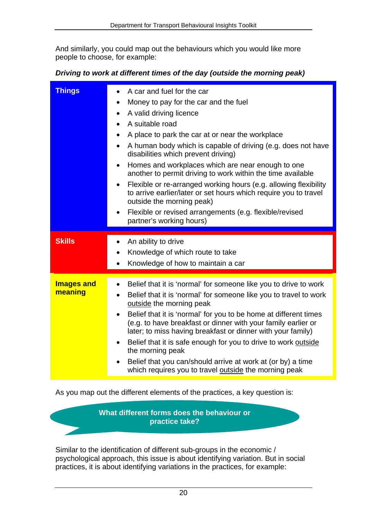And similarly, you could map out the behaviours which you would like more people to choose, for example:

#### *Driving to work at different times of the day (outside the morning peak)*

| <b>Things</b>                | A car and fuel for the car<br>Money to pay for the car and the fuel<br>$\bullet$<br>A valid driving licence<br>$\bullet$<br>A suitable road<br>A place to park the car at or near the workplace<br>$\bullet$<br>A human body which is capable of driving (e.g. does not have<br>$\bullet$<br>disabilities which prevent driving)<br>Homes and workplaces which are near enough to one<br>$\bullet$<br>another to permit driving to work within the time available<br>Flexible or re-arranged working hours (e.g. allowing flexibility<br>$\bullet$<br>to arrive earlier/later or set hours which require you to travel<br>outside the morning peak)<br>Flexible or revised arrangements (e.g. flexible/revised<br>partner's working hours) |
|------------------------------|--------------------------------------------------------------------------------------------------------------------------------------------------------------------------------------------------------------------------------------------------------------------------------------------------------------------------------------------------------------------------------------------------------------------------------------------------------------------------------------------------------------------------------------------------------------------------------------------------------------------------------------------------------------------------------------------------------------------------------------------|
| <b>Skills</b>                | An ability to drive<br>$\bullet$<br>Knowledge of which route to take<br>Knowledge of how to maintain a car                                                                                                                                                                                                                                                                                                                                                                                                                                                                                                                                                                                                                                 |
| <b>Images and</b><br>meaning | Belief that it is 'normal' for someone like you to drive to work<br>$\bullet$<br>Belief that it is 'normal' for someone like you to travel to work<br>outside the morning peak<br>Belief that it is 'normal' for you to be home at different times<br>(e.g. to have breakfast or dinner with your family earlier or<br>later; to miss having breakfast or dinner with your family)<br>Belief that it is safe enough for you to drive to work outside<br>the morning peak<br>Belief that you can/should arrive at work at (or by) a time<br>which requires you to travel outside the morning peak                                                                                                                                           |

As you map out the different elements of the practices, a key question is:

**What different forms does the behaviour or practice take?** 

Similar to the identification of different sub-groups in the economic / psychological approach, this issue is about identifying variation. But in social practices, it is about identifying variations in the practices, for example: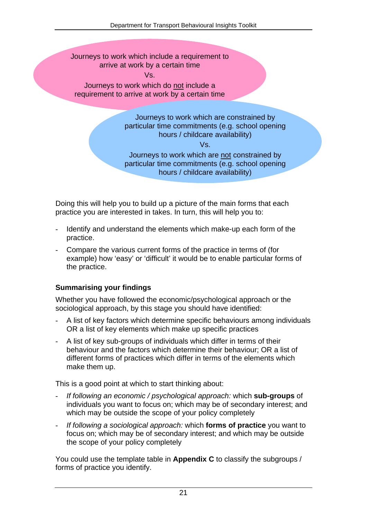Journeys to work which include a requirement to arrive at work by a certain time Vs.

Journeys to work which do not include a requirement to arrive at work by a certain time

> Journeys to work which are constrained by particular time commitments (e.g. school opening hours / childcare availability)

> > Vs.

Journeys to work which are not constrained by particular time commitments (e.g. school opening hours / childcare availability)

Doing this will help you to build up a picture of the main forms that each practice you are interested in takes. In turn, this will help you to:

- Identify and understand the elements which make-up each form of the practice.
- Compare the various current forms of the practice in terms of (for example) how 'easy' or 'difficult' it would be to enable particular forms of the practice.

## **Summarising your findings**

Whether you have followed the economic/psychological approach or the sociological approach, by this stage you should have identified:

- A list of key factors which determine specific behaviours among individuals OR a list of key elements which make up specific practices
- A list of key sub-groups of individuals which differ in terms of their behaviour and the factors which determine their behaviour; OR a list of different forms of practices which differ in terms of the elements which make them up.

This is a good point at which to start thinking about:

- *If following an economic / psychological approach:* which **sub-groups** of individuals you want to focus on; which may be of secondary interest; and which may be outside the scope of your policy completely
- *If following a sociological approach:* which **forms of practice** you want to focus on; which may be of secondary interest; and which may be outside the scope of your policy completely

You could use the template table in **Appendix C** to classify the subgroups / forms of practice you identify.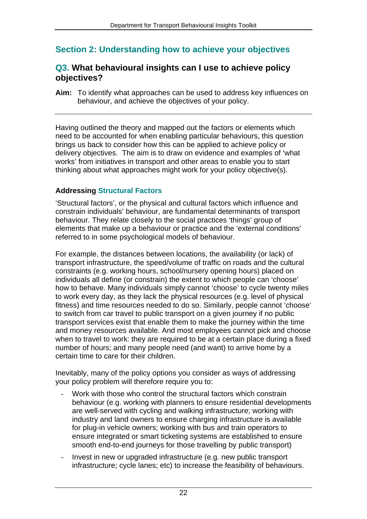## <span id="page-23-0"></span>**Section 2: Understanding how to achieve your objectives**

## <span id="page-23-1"></span>**Q3. What behavioural insights can I use to achieve policy objectives?**

**Aim:** To identify what approaches can be used to address key influences on behaviour, and achieve the objectives of your policy.

Having outlined the theory and mapped out the factors or elements which need to be accounted for when enabling particular behaviours, this question brings us back to consider how this can be applied to achieve policy or delivery objectives. The aim is to draw on evidence and examples of 'what works' from initiatives in transport and other areas to enable you to start thinking about what approaches might work for your policy objective(s).

### **Addressing Structural Factors**

'Structural factors', or the physical and cultural factors which influence and constrain individuals' behaviour, are fundamental determinants of transport behaviour. They relate closely to the social practices 'things' group of elements that make up a behaviour or practice and the 'external conditions' referred to in some psychological models of behaviour.

For example, the distances between locations, the availability (or lack) of transport infrastructure, the speed/volume of traffic on roads and the cultural constraints (e.g. working hours, school/nursery opening hours) placed on individuals all define (or constrain) the extent to which people can 'choose' how to behave. Many individuals simply cannot 'choose' to cycle twenty miles to work every day, as they lack the physical resources (e.g. level of physical fitness) and time resources needed to do so. Similarly, people cannot 'choose' to switch from car travel to public transport on a given journey if no public transport services exist that enable them to make the journey within the time and money resources available. And most employees cannot pick and choose when to travel to work: they are required to be at a certain place during a fixed number of hours; and many people need (and want) to arrive home by a certain time to care for their children.

Inevitably, many of the policy options you consider as ways of addressing your policy problem will therefore require you to:

- Work with those who control the structural factors which constrain behaviour (e.g. working with planners to ensure residential developments are well-served with cycling and walking infrastructure; working with industry and land owners to ensure charging infrastructure is available for plug-in vehicle owners; working with bus and train operators to ensure integrated or smart ticketing systems are established to ensure smooth end-to-end journeys for those travelling by public transport)
- Invest in new or upgraded infrastructure (e.g. new public transport infrastructure; cycle lanes; etc) to increase the feasibility of behaviours.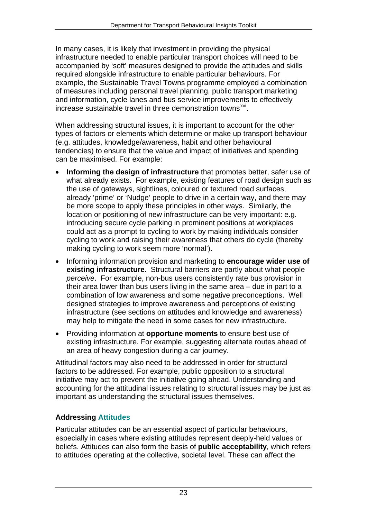In many cases, it is likely that investment in providing the physical infrastructure needed to enable particular transport choices will need to be accompanied by 'soft' measures designed to provide the attitudes and skills required alongside infrastructure to enable particular behaviours. For example, the Sustainable Travel Towns programme employed a combination of measures including personal travel planning, public transport marketing and information, cycle lanes and bus service improvements to effectively increase sustainable travel in three demonstration towns<sup> $xvi$ </sup>.

When addressing structural issues, it is important to account for the other types of factors or elements which determine or make up transport behaviour (e.g. attitudes, knowledge/awareness, habit and other behavioural tendencies) to ensure that the value and impact of initiatives and spending can be maximised. For example:

- **Informing the design of infrastructure** that promotes better, safer use of what already exists. For example, existing features of road design such as the use of gateways, sightlines, coloured or textured road surfaces, already 'prime' or 'Nudge' people to drive in a certain way, and there may be more scope to apply these principles in other ways. Similarly, the location or positioning of new infrastructure can be very important: e.g. introducing secure cycle parking in prominent positions at workplaces could act as a prompt to cycling to work by making individuals consider cycling to work and raising their awareness that others do cycle (thereby making cycling to work seem more 'normal').
- Informing information provision and marketing to **encourage wider use of existing infrastructure**. Structural barriers are partly about what people *perceive*. For example, non-bus users consistently rate bus provision in their area lower than bus users living in the same area – due in part to a combination of low awareness and some negative preconceptions. Well designed strategies to improve awareness and perceptions of existing infrastructure (see sections on attitudes and knowledge and awareness) may help to mitigate the need in some cases for new infrastructure.
- Providing information at **opportune moments** to ensure best use of existing infrastructure. For example, suggesting alternate routes ahead of an area of heavy congestion during a car journey.

Attitudinal factors may also need to be addressed in order for structural factors to be addressed. For example, public opposition to a structural initiative may act to prevent the initiative going ahead. Understanding and accounting for the attitudinal issues relating to structural issues may be just as important as understanding the structural issues themselves.

## **Addressing Attitudes**

Particular attitudes can be an essential aspect of particular behaviours, especially in cases where existing attitudes represent deeply-held values or beliefs. Attitudes can also form the basis of **public acceptability**, which refers to attitudes operating at the collective, societal level. These can affect the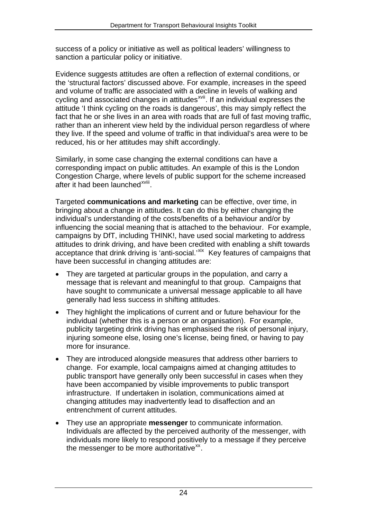success of a policy or initiative as well as political leaders' willingness to sanction a particular policy or initiative.

Evidence suggests attitudes are often a reflection of external conditions, or the 'structural factors' discussed above. For example, increases in the speed and volume of traffic are associated with a decline in levels of walking and cycling and associated changes in attitudes<sup>[xvii](#page-61-3)</sup>. If an individual expresses the attitude 'I think cycling on the roads is dangerous', this may simply reflect the fact that he or she lives in an area with roads that are full of fast moving traffic, rather than an inherent view held by the individual person regardless of where they live. If the speed and volume of traffic in that individual's area were to be reduced, his or her attitudes may shift accordingly.

Similarly, in some case changing the external conditions can have a corresponding impact on public attitudes. An example of this is the London Congestion Charge, where levels of public support for the scheme increased after it had been launched<sup>[xviii](#page-61-4)</sup>.

Targeted **communications and marketing** can be effective, over time, in bringing about a change in attitudes. It can do this by either changing the individual's understanding of the costs/benefits of a behaviour and/or by influencing the social meaning that is attached to the behaviour. For example, campaigns by DfT, including THINK!, have used social marketing to address attitudes to drink driving, and have been credited with enabling a shift towards acceptance that drink driving is 'anti-social.'<sup>[xix](#page-61-5)</sup> Key features of campaigns that have been successful in changing attitudes are:

- They are targeted at particular groups in the population, and carry a message that is relevant and meaningful to that group. Campaigns that have sought to communicate a universal message applicable to all have generally had less success in shifting attitudes.
- They highlight the implications of current and or future behaviour for the individual (whether this is a person or an organisation). For example, publicity targeting drink driving has emphasised the risk of personal injury, injuring someone else, losing one's license, being fined, or having to pay more for insurance.
- They are introduced alongside measures that address other barriers to change. For example, local campaigns aimed at changing attitudes to public transport have generally only been successful in cases when they have been accompanied by visible improvements to public transport infrastructure. If undertaken in isolation, communications aimed at changing attitudes may inadvertently lead to disaffection and an entrenchment of current attitudes.
- They use an appropriate **messenger** to communicate information. Individuals are affected by the perceived authority of the messenger, with individuals more likely to respond positively to a message if they perceive the messenger to be more authoritative $^{xx}$  $^{xx}$  $^{xx}$ .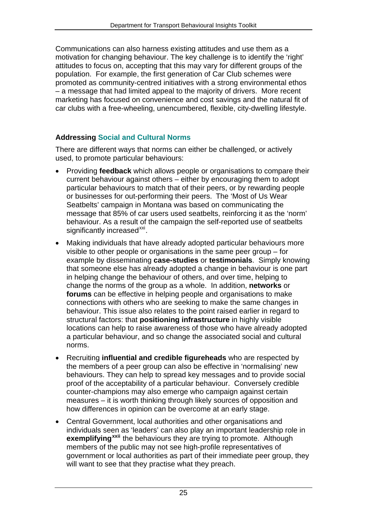Communications can also harness existing attitudes and use them as a motivation for changing behaviour. The key challenge is to identify the 'right' attitudes to focus on, accepting that this may vary for different groups of the population. For example, the first generation of Car Club schemes were promoted as community-centred initiatives with a strong environmental ethos – a message that had limited appeal to the majority of drivers. More recent marketing has focused on convenience and cost savings and the natural fit of car clubs with a free-wheeling, unencumbered, flexible, city-dwelling lifestyle.

## **Addressing Social and Cultural Norms**

There are different ways that norms can either be challenged, or actively used, to promote particular behaviours:

- Providing **feedback** which allows people or organisations to compare their current behaviour against others – either by encouraging them to adopt particular behaviours to match that of their peers, or by rewarding people or businesses for out-performing their peers. The 'Most of Us Wear Seatbelts' campaign in Montana was based on communicating the message that 85% of car users used seatbelts, reinforcing it as the 'norm' behaviour. As a result of the campaign the self-reported use of seatbelts significantly increased<sup>[xxi](#page-61-7)</sup>.
- Making individuals that have already adopted particular behaviours more visible to other people or organisations in the same peer group – for example by disseminating **case-studies** or **testimonials**. Simply knowing that someone else has already adopted a change in behaviour is one part in helping change the behaviour of others, and over time, helping to change the norms of the group as a whole. In addition, **networks** or **forums** can be effective in helping people and organisations to make connections with others who are seeking to make the same changes in behaviour. This issue also relates to the point raised earlier in regard to structural factors: that **positioning infrastructure** in highly visible locations can help to raise awareness of those who have already adopted a particular behaviour, and so change the associated social and cultural norms.
- Recruiting **influential and credible figureheads** who are respected by the members of a peer group can also be effective in 'normalising' new behaviours. They can help to spread key messages and to provide social proof of the acceptability of a particular behaviour. Conversely credible counter-champions may also emerge who campaign against certain measures – it is worth thinking through likely sources of opposition and how differences in opinion can be overcome at an early stage.
- Central Government, local authorities and other organisations and individuals seen as 'leaders' can also play an important leadership role in **exemplifying[xxii](#page-62-0)** the behaviours they are trying to promote. Although members of the public may not see high-profile representatives of government or local authorities as part of their immediate peer group, they will want to see that they practise what they preach.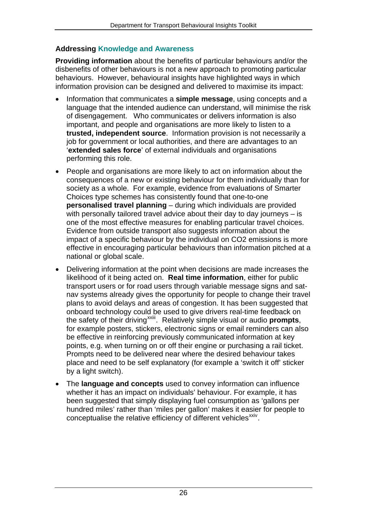## **Addressing Knowledge and Awareness**

**Providing information** about the benefits of particular behaviours and/or the disbenefits of other behaviours is not a new approach to promoting particular behaviours. However, behavioural insights have highlighted ways in which information provision can be designed and delivered to maximise its impact:

- Information that communicates a **simple message**, using concepts and a language that the intended audience can understand, will minimise the risk of disengagement. Who communicates or delivers information is also important, and people and organisations are more likely to listen to a **trusted, independent source**. Information provision is not necessarily a job for government or local authorities, and there are advantages to an '**extended sales force**' of external individuals and organisations performing this role.
- People and organisations are more likely to act on information about the consequences of a new or existing behaviour for them individually than for society as a whole. For example, evidence from evaluations of Smarter Choices type schemes has consistently found that one-to-one **personalised travel planning** – during which individuals are provided with personally tailored travel advice about their day to day journeys – is one of the most effective measures for enabling particular travel choices. Evidence from outside transport also suggests information about the impact of a specific behaviour by the individual on CO2 emissions is more effective in encouraging particular behaviours than information pitched at a national or global scale.
- Delivering information at the point when decisions are made increases the likelihood of it being acted on. **Real time information**, either for public transport users or for road users through variable message signs and satnav systems already gives the opportunity for people to change their travel plans to avoid delays and areas of congestion. It has been suggested that onboard technology could be used to give drivers real-time feedback on the safety of their driving[xxiii](#page-62-1). Relatively simple visual or audio **prompts**, for example posters, stickers, electronic signs or email reminders can also be effective in reinforcing previously communicated information at key points, e.g. when turning on or off their engine or purchasing a rail ticket. Prompts need to be delivered near where the desired behaviour takes place and need to be self explanatory (for example a 'switch it off' sticker by a light switch).
- The **language and concepts** used to convey information can influence whether it has an impact on individuals' behaviour. For example, it has been suggested that simply displaying fuel consumption as 'gallons per hundred miles' rather than 'miles per gallon' makes it easier for people to conceptualise the relative efficiency of different vehicles<sup>[xxiv](#page-62-2)</sup>.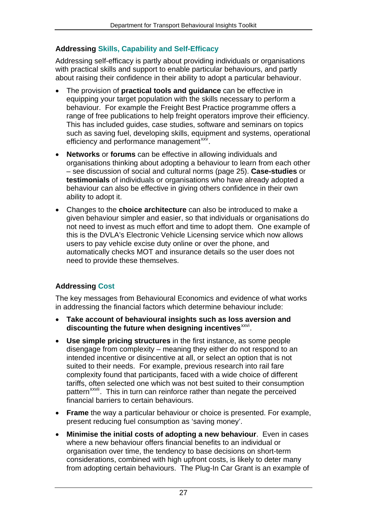## **Addressing Skills, Capability and Self-Efficacy**

Addressing self-efficacy is partly about providing individuals or organisations with practical skills and support to enable particular behaviours, and partly about raising their confidence in their ability to adopt a particular behaviour.

- The provision of **practical tools and guidance** can be effective in equipping your target population with the skills necessary to perform a behaviour. For example the Freight Best Practice programme offers a range of free publications to help freight operators improve their efficiency. This has included guides, case studies, software and seminars on topics such as saving fuel, developing skills, equipment and systems, operational efficiency and performance management<sup>[xxv](#page-62-3)</sup>.
- **Networks** or **forums** can be effective in allowing individuals and organisations thinking about adopting a behaviour to learn from each other – see discussion of social and cultural norms (page 25). **Case-studies** or **testimonials** of individuals or organisations who have already adopted a behaviour can also be effective in giving others confidence in their own ability to adopt it.
- Changes to the **choice architecture** can also be introduced to make a given behaviour simpler and easier, so that individuals or organisations do not need to invest as much effort and time to adopt them. One example of this is the DVLA's Electronic Vehicle Licensing service which now allows users to pay vehicle excise duty online or over the phone, and automatically checks MOT and insurance details so the user does not need to provide these themselves.

## **Addressing Cost**

The key messages from Behavioural Economics and evidence of what works in addressing the financial factors which determine behaviour include:

- **Take account of behavioural insights such as loss aversion and**  discounting the future when designing incentives<sup>[xxvi](#page-62-4)</sup>.
- **Use simple pricing structures** in the first instance, as some people disengage from complexity – meaning they either do not respond to an intended incentive or disincentive at all, or select an option that is not suited to their needs. For example, previous research into rail fare complexity found that participants, faced with a wide choice of different tariffs, often selected one which was not best suited to their consumption pattern<sup>[xxvii](#page-62-5)</sup>. This in turn can reinforce rather than negate the perceived financial barriers to certain behaviours.
- **Frame** the way a particular behaviour or choice is presented. For example, present reducing fuel consumption as 'saving money'.
- **Minimise the initial costs of adopting a new behaviour**. Even in cases where a new behaviour offers financial benefits to an individual or organisation over time, the tendency to base decisions on short-term considerations, combined with high upfront costs, is likely to deter many from adopting certain behaviours. The Plug-In Car Grant is an example of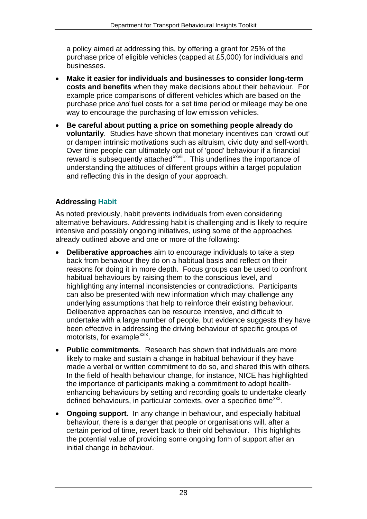a policy aimed at addressing this, by offering a grant for 25% of the purchase price of eligible vehicles (capped at £5,000) for individuals and businesses.

- **Make it easier for individuals and businesses to consider long-term costs and benefits** when they make decisions about their behaviour. For example price comparisons of different vehicles which are based on the purchase price *and* fuel costs for a set time period or mileage may be one way to encourage the purchasing of low emission vehicles.
- **Be careful about putting a price on something people already do voluntarily**. Studies have shown that monetary incentives can 'crowd out' or dampen intrinsic motivations such as altruism, civic duty and self-worth. Over time people can ultimately opt out of 'good' behaviour if a financial reward is subsequently attached<sup>[xxviii](#page-62-6)</sup>. This underlines the importance of understanding the attitudes of different groups within a target population and reflecting this in the design of your approach.

## **Addressing Habit**

As noted previously, habit prevents individuals from even considering alternative behaviours. Addressing habit is challenging and is likely to require intensive and possibly ongoing initiatives, using some of the approaches already outlined above and one or more of the following:

- **Deliberative approaches** aim to encourage individuals to take a step back from behaviour they do on a habitual basis and reflect on their reasons for doing it in more depth. Focus groups can be used to confront habitual behaviours by raising them to the conscious level, and highlighting any internal inconsistencies or contradictions. Participants can also be presented with new information which may challenge any underlying assumptions that help to reinforce their existing behaviour. Deliberative approaches can be resource intensive, and difficult to undertake with a large number of people, but evidence suggests they have been effective in addressing the driving behaviour of specific groups of motorists, for example  $\frac{xx}{x}$ .
- **Public commitments**. Research has shown that individuals are more likely to make and sustain a change in habitual behaviour if they have made a verbal or written commitment to do so, and shared this with others. In the field of health behaviour change, for instance, NICE has highlighted the importance of participants making a commitment to adopt healthenhancing behaviours by setting and recording goals to undertake clearly defined behaviours, in particular contexts, over a specified time<sup>[xxx](#page-62-8)</sup>.
- **Ongoing support**. In any change in behaviour, and especially habitual behaviour, there is a danger that people or organisations will, after a certain period of time, revert back to their old behaviour. This highlights the potential value of providing some ongoing form of support after an initial change in behaviour.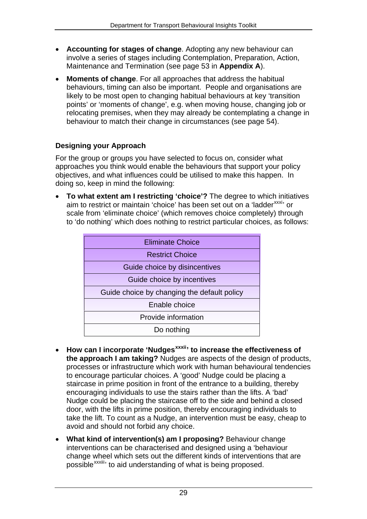- **Accounting for stages of change**. Adopting any new behaviour can involve a series of stages including Contemplation, Preparation, Action, Maintenance and Termination (see page 53 in **Appendix A**).
- **Moments of change**. For all approaches that address the habitual behaviours, timing can also be important. People and organisations are likely to be most open to changing habitual behaviours at key 'transition points' or 'moments of change', e.g. when moving house, changing job or relocating premises, when they may already be contemplating a change in behaviour to match their change in circumstances (see page 54).

## **Designing your Approach**

For the group or groups you have selected to focus on, consider what approaches you think would enable the behaviours that support your policy objectives, and what influences could be utilised to make this happen. In doing so, keep in mind the following:

 **To what extent am I restricting 'choice'?** The degree to which initiatives aim to restrict or maintain 'choice' has been set out on a 'ladder<sup>[xxxi](#page-62-9)</sup>' or scale from 'eliminate choice' (which removes choice completely) through to 'do nothing' which does nothing to restrict particular choices, as follows:

| <b>Eliminate Choice</b>                     |
|---------------------------------------------|
| <b>Restrict Choice</b>                      |
| Guide choice by disincentives               |
| Guide choice by incentives                  |
| Guide choice by changing the default policy |
| Enable choice                               |
| Provide information                         |
| Do nothing                                  |

- **How can I incorporate 'Nudges[xxxii](#page-62-10)' to increase the effectiveness of the approach I am taking?** Nudges are aspects of the design of products, processes or infrastructure which work with human behavioural tendencies to encourage particular choices. A 'good' Nudge could be placing a staircase in prime position in front of the entrance to a building, thereby encouraging individuals to use the stairs rather than the lifts. A 'bad' Nudge could be placing the staircase off to the side and behind a closed door, with the lifts in prime position, thereby encouraging individuals to take the lift. To count as a Nudge, an intervention must be easy, cheap to avoid and should not forbid any choice.
- **What kind of intervention(s) am I proposing?** Behaviour change interventions can be characterised and designed using a 'behaviour change wheel which sets out the different kinds of interventions that are possible<sup>[xxxiii](#page-62-11)</sup> to aid understanding of what is being proposed.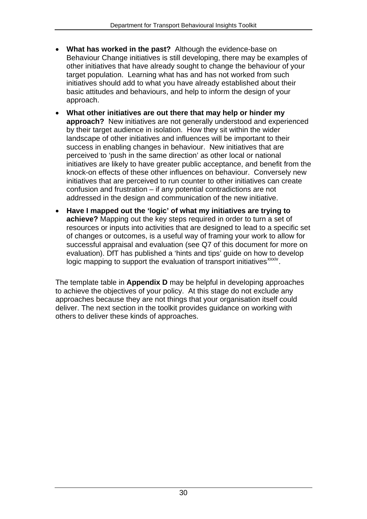- **What has worked in the past?** Although the evidence-base on Behaviour Change initiatives is still developing, there may be examples of other initiatives that have already sought to change the behaviour of your target population. Learning what has and has not worked from such initiatives should add to what you have already established about their basic attitudes and behaviours, and help to inform the design of your approach.
- **What other initiatives are out there that may help or hinder my approach?** New initiatives are not generally understood and experienced by their target audience in isolation. How they sit within the wider landscape of other initiatives and influences will be important to their success in enabling changes in behaviour. New initiatives that are perceived to 'push in the same direction' as other local or national initiatives are likely to have greater public acceptance, and benefit from the knock-on effects of these other influences on behaviour. Conversely new initiatives that are perceived to run counter to other initiatives can create confusion and frustration – if any potential contradictions are not addressed in the design and communication of the new initiative.
- **Have I mapped out the 'logic' of what my initiatives are trying to achieve?** Mapping out the key steps required in order to turn a set of resources or inputs into activities that are designed to lead to a specific set of changes or outcomes, is a useful way of framing your work to allow for successful appraisal and evaluation (see Q7 of this document for more on evaluation). DfT has published a 'hints and tips' guide on how to develop logic mapping to support the evaluation of transport initiatives<sup>[xxxiv](#page-62-12)</sup>.

The template table in **Appendix D** may be helpful in developing approaches to achieve the objectives of your policy. At this stage do not exclude any approaches because they are not things that your organisation itself could deliver. The next section in the toolkit provides guidance on working with others to deliver these kinds of approaches.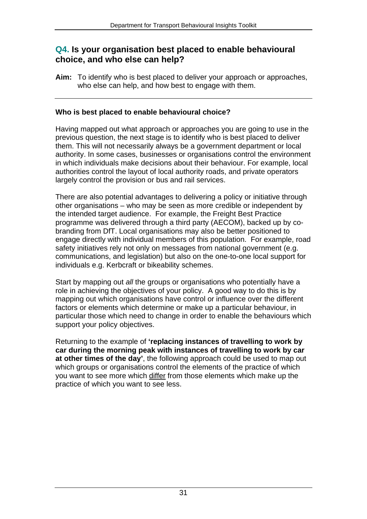## <span id="page-32-0"></span>**Q4. Is your organisation best placed to enable behavioural choice, and who else can help?**

**Aim:** To identify who is best placed to deliver your approach or approaches, who else can help, and how best to engage with them.

## **Who is best placed to enable behavioural choice?**

Having mapped out what approach or approaches you are going to use in the previous question, the next stage is to identify who is best placed to deliver them. This will not necessarily always be a government department or local authority. In some cases, businesses or organisations control the environment in which individuals make decisions about their behaviour. For example, local authorities control the layout of local authority roads, and private operators largely control the provision or bus and rail services.

There are also potential advantages to delivering a policy or initiative through other organisations – who may be seen as more credible or independent by the intended target audience. For example, the Freight Best Practice programme was delivered through a third party (AECOM), backed up by cobranding from DfT. Local organisations may also be better positioned to engage directly with individual members of this population. For example, road safety initiatives rely not only on messages from national government (e.g. communications, and legislation) but also on the one-to-one local support for individuals e.g. Kerbcraft or bikeability schemes.

Start by mapping out *all* the groups or organisations who potentially have a role in achieving the objectives of your policy. A good way to do this is by mapping out which organisations have control or influence over the different factors or elements which determine or make up a particular behaviour, in particular those which need to change in order to enable the behaviours which support your policy objectives.

Returning to the example of **'replacing instances of travelling to work by car during the morning peak with instances of travelling to work by car at other times of the day'**, the following approach could be used to map out which groups or organisations control the elements of the practice of which you want to see more which differ from those elements which make up the practice of which you want to see less.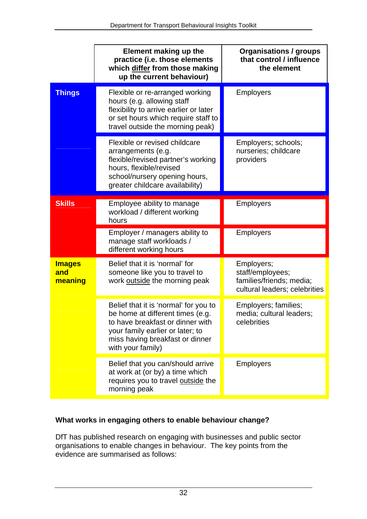|                                 | Element making up the<br>practice (i.e. those elements<br>which differ from those making<br>up the current behaviour)                                                                                     | <b>Organisations / groups</b><br>that control / influence<br>the element                    |
|---------------------------------|-----------------------------------------------------------------------------------------------------------------------------------------------------------------------------------------------------------|---------------------------------------------------------------------------------------------|
| <b>Things</b>                   | Flexible or re-arranged working<br>hours (e.g. allowing staff<br>flexibility to arrive earlier or later<br>or set hours which require staff to<br>travel outside the morning peak)                        | <b>Employers</b>                                                                            |
|                                 | Flexible or revised childcare<br>arrangements (e.g.<br>flexible/revised partner's working<br>hours, flexible/revised<br>school/nursery opening hours,<br>greater childcare availability)                  | Employers; schools;<br>nurseries; childcare<br>providers                                    |
| <b>Skills</b>                   | Employee ability to manage<br>workload / different working<br>hours                                                                                                                                       | <b>Employers</b>                                                                            |
|                                 | Employer / managers ability to<br>manage staff workloads /<br>different working hours                                                                                                                     | <b>Employers</b>                                                                            |
| <b>Images</b><br>and<br>meaning | Belief that it is 'normal' for<br>someone like you to travel to<br>work outside the morning peak                                                                                                          | Employers;<br>staff/employees;<br>families/friends; media;<br>cultural leaders; celebrities |
|                                 | Belief that it is 'normal' for you to<br>be home at different times (e.g.<br>to have breakfast or dinner with<br>your family earlier or later; to<br>miss having breakfast or dinner<br>with your family) | Employers; families;<br>media; cultural leaders;<br>celebrities                             |
|                                 | Belief that you can/should arrive<br>at work at (or by) a time which<br>requires you to travel outside the<br>morning peak                                                                                | <b>Employers</b>                                                                            |

## **What works in engaging others to enable behaviour change?**

DfT has published research on engaging with businesses and public sector organisations to enable changes in behaviour. The key points from the evidence are summarised as follows: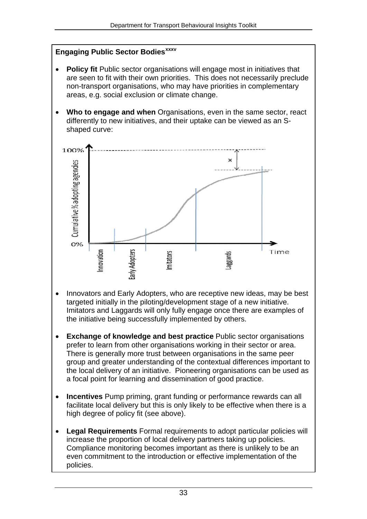### **Engaging Public Sector Bodies[xxxv](#page-62-13)**

- **Policy fit** Public sector organisations will engage most in initiatives that are seen to fit with their own priorities. This does not necessarily preclude non-transport organisations, who may have priorities in complementary areas, e.g. social exclusion or climate change.
- **Who to engage and when** Organisations, even in the same sector, react differently to new initiatives, and their uptake can be viewed as an Sshaped curve:



- Innovators and Early Adopters, who are receptive new ideas, may be best targeted initially in the piloting/development stage of a new initiative. Imitators and Laggards will only fully engage once there are examples of the initiative being successfully implemented by others.
- **Exchange of knowledge and best practice** Public sector organisations prefer to learn from other organisations working in their sector or area. There is generally more trust between organisations in the same peer group and greater understanding of the contextual differences important to the local delivery of an initiative. Pioneering organisations can be used as a focal point for learning and dissemination of good practice.
- **Incentives** Pump priming, grant funding or performance rewards can all facilitate local delivery but this is only likely to be effective when there is a high degree of policy fit (see above).
- **Legal Requirements** Formal requirements to adopt particular policies will increase the proportion of local delivery partners taking up policies. Compliance monitoring becomes important as there is unlikely to be an even commitment to the introduction or effective implementation of the policies.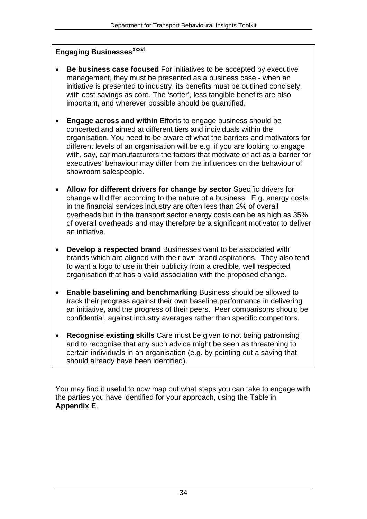## **Engaging Businesses[xxxvi](#page-62-14)**

- **Be business case focused** For initiatives to be accepted by executive management, they must be presented as a business case - when an initiative is presented to industry, its benefits must be outlined concisely, with cost savings as core. The 'softer', less tangible benefits are also important, and wherever possible should be quantified.
- **Engage across and within** Efforts to engage business should be concerted and aimed at different tiers and individuals within the organisation. You need to be aware of what the barriers and motivators for different levels of an organisation will be e.g. if you are looking to engage with, say, car manufacturers the factors that motivate or act as a barrier for executives' behaviour may differ from the influences on the behaviour of showroom salespeople.
- **Allow for different drivers for change by sector** Specific drivers for change will differ according to the nature of a business. E.g. energy costs in the financial services industry are often less than 2% of overall overheads but in the transport sector energy costs can be as high as 35% of overall overheads and may therefore be a significant motivator to deliver an initiative.
- **Develop a respected brand** Businesses want to be associated with brands which are aligned with their own brand aspirations. They also tend to want a logo to use in their publicity from a credible, well respected organisation that has a valid association with the proposed change.
- **Enable baselining and benchmarking** Business should be allowed to track their progress against their own baseline performance in delivering an initiative, and the progress of their peers. Peer comparisons should be confidential, against industry averages rather than specific competitors.
- **Recognise existing skills** Care must be given to not being patronising and to recognise that any such advice might be seen as threatening to certain individuals in an organisation (e.g. by pointing out a saving that should already have been identified).

You may find it useful to now map out what steps you can take to engage with the parties you have identified for your approach, using the Table in **Appendix E**.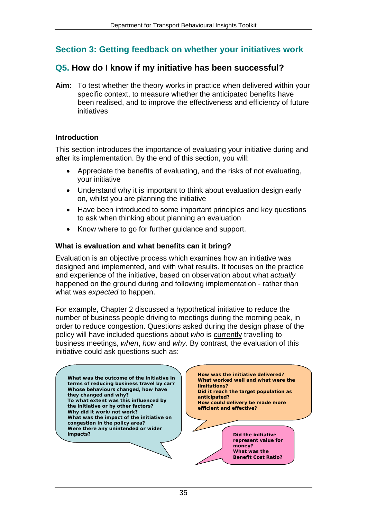## <span id="page-36-0"></span>**Section 3: Getting feedback on whether your initiatives work**

## <span id="page-36-1"></span>**Q5. How do I know if my initiative has been successful?**

**Aim:** To test whether the theory works in practice when delivered within your specific context, to measure whether the anticipated benefits have been realised, and to improve the effectiveness and efficiency of future initiatives

#### **Introduction**

This section introduces the importance of evaluating your initiative during and after its implementation. By the end of this section, you will:

- Appreciate the benefits of evaluating, and the risks of not evaluating, your initiative
- Understand why it is important to think about evaluation design early on, whilst you are planning the initiative
- Have been introduced to some important principles and key questions to ask when thinking about planning an evaluation
- Know where to go for further guidance and support.

#### **What is evaluation and what benefits can it bring?**

Evaluation is an objective process which examines how an initiative was designed and implemented, and with what results. It focuses on the practice and experience of the initiative, based on observation about what *actually*  happened on the ground during and following implementation - rather than what was *expected* to happen.

For example, Chapter 2 discussed a hypothetical initiative to reduce the number of business people driving to meetings during the morning peak, in order to reduce congestion. Questions asked during the design phase of the policy will have included questions about *who* is currently travelling to business meetings, *when*, *how* and *why*. By contrast, the evaluation of this initiative could ask questions such as:

**Were there any unintended or wider impacts? What was the impact of the initiative on congestion in the policy area? Why did it work/not work? To what extent was this influenced by the initiative or by other factors? Whose behaviours changed, how have they changed and why? What was the outcome of the initiative in terms of reducing business travel by car? What was the Benefit Cost Ratio? Did the initiative represent value for money? How could delivery be made more efficient and effective? Did it reach the target population as anticipated? What worked well and what were the limitations? How was the initiative delivered?**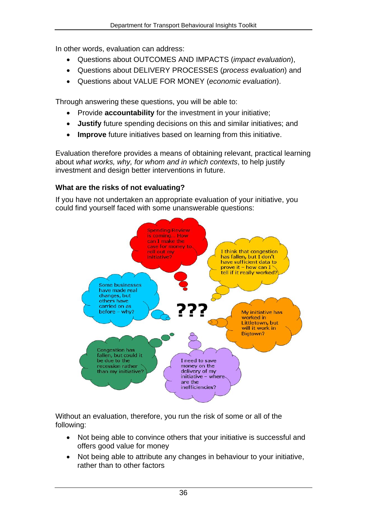In other words, evaluation can address:

- Questions about OUTCOMES AND IMPACTS (*impact evaluation*),
- Questions about DELIVERY PROCESSES (*process evaluation*) and
- Questions about VALUE FOR MONEY (*economic evaluation*).

Through answering these questions, you will be able to:

- Provide **accountability** for the investment in your initiative;
- **Justify** future spending decisions on this and similar initiatives; and
- **Improve** future initiatives based on learning from this initiative.

Evaluation therefore provides a means of obtaining relevant, practical learning about *what works, why, for whom and in which contexts*, to help justify investment and design better interventions in future.

## **What are the risks of not evaluating?**

If you have not undertaken an appropriate evaluation of your initiative, you could find yourself faced with some unanswerable questions:



Without an evaluation, therefore, you run the risk of some or all of the following:

- Not being able to convince others that your initiative is successful and offers good value for money
- Not being able to attribute any changes in behaviour to your initiative, rather than to other factors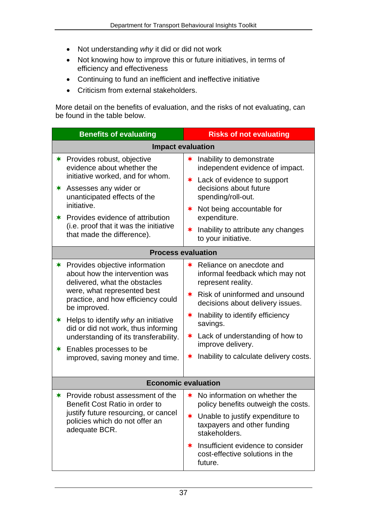- Not understanding *why* it did or did not work
- Not knowing how to improve this or future initiatives, in terms of efficiency and effectiveness
- Continuing to fund an inefficient and ineffective initiative
- Criticism from external stakeholders.

More detail on the benefits of evaluation, and the risks of not evaluating, can be found in the table below.

| <b>Benefits of evaluating</b>                                                                                                                                                                                | <b>Risks of not evaluating</b>                                                             |  |
|--------------------------------------------------------------------------------------------------------------------------------------------------------------------------------------------------------------|--------------------------------------------------------------------------------------------|--|
|                                                                                                                                                                                                              | <b>Impact evaluation</b>                                                                   |  |
| <b>★ Provides robust, objective</b><br>evidence about whether the                                                                                                                                            | $\star$ Inability to demonstrate<br>independent evidence of impact.                        |  |
| initiative worked, and for whom.<br>Assesses any wider or<br>$\ast$<br>unanticipated effects of the                                                                                                          | * Lack of evidence to support<br>decisions about future<br>spending/roll-out.              |  |
| initiative.<br><b>★ Provides evidence of attribution</b>                                                                                                                                                     | ★ Not being accountable for<br>expenditure.                                                |  |
| (i.e. proof that it was the initiative<br>that made the difference).                                                                                                                                         | Inability to attribute any changes<br>$\bigstar$<br>to your initiative.                    |  |
| <b>Process evaluation</b>                                                                                                                                                                                    |                                                                                            |  |
| <b>★ Provides objective information</b><br>about how the intervention was<br>delivered, what the obstacles                                                                                                   | <b>★</b> Reliance on anecdote and<br>informal feedback which may not<br>represent reality. |  |
| were, what represented best<br>practice, and how efficiency could<br>be improved.<br>$*$ Helps to identify why an initiative<br>did or did not work, thus informing<br>understanding of its transferability. | $\star$ Risk of uninformed and unsound<br>decisions about delivery issues.                 |  |
|                                                                                                                                                                                                              | Inability to identify efficiency<br>∗<br>savings.                                          |  |
|                                                                                                                                                                                                              | $\star$ Lack of understanding of how to<br>improve delivery.                               |  |
| $\star$ Enables processes to be<br>improved, saving money and time.                                                                                                                                          | Inability to calculate delivery costs.<br>$\ast$                                           |  |
| <b>Economic evaluation</b>                                                                                                                                                                                   |                                                                                            |  |
| Provide robust assessment of the<br>∗.<br>Benefit Cost Ratio in order to                                                                                                                                     | No information on whether the<br>∗<br>policy benefits outweigh the costs.                  |  |
| justify future resourcing, or cancel<br>policies which do not offer an<br>adequate BCR.                                                                                                                      | <b>★</b> Unable to justify expenditure to<br>taxpayers and other funding<br>stakeholders.  |  |
|                                                                                                                                                                                                              | Insufficient evidence to consider<br>∗<br>cost-effective solutions in the<br>future.       |  |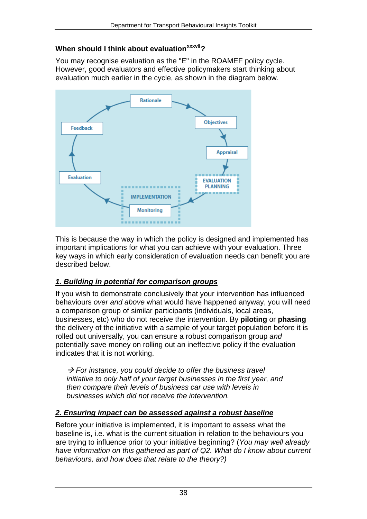### **When should I think about evaluation[xxxvii](#page-62-15)?**

You may recognise evaluation as the "E" in the ROAMEF policy cycle. However, good evaluators and effective policymakers start thinking about evaluation much earlier in the cycle, as shown in the diagram below.



This is because the way in which the policy is designed and implemented has important implications for what you can achieve with your evaluation. Three key ways in which early consideration of evaluation needs can benefit you are described below.

## *1. Building in potential for comparison groups*

If you wish to demonstrate conclusively that your intervention has influenced behaviours *over and above* what would have happened anyway, you will need a comparison group of similar participants (individuals, local areas, businesses, etc) who do not receive the intervention. By **piloting** or **phasing** the delivery of the initiative with a sample of your target population before it is rolled out universally, you can ensure a robust comparison group *and*  potentially save money on rolling out an ineffective policy if the evaluation indicates that it is not working.

 *For instance, you could decide to offer the business travel initiative to only half of your target businesses in the first year, and then compare their levels of business car use with levels in businesses which did not receive the intervention.* 

## *2. Ensuring impact can be assessed against a robust baseline*

Before your initiative is implemented, it is important to assess what the baseline is, i.e. what is the current situation in relation to the behaviours you are trying to influence prior to your initiative beginning? (*You may well already have information on this gathered as part of Q2. What do I know about current behaviours, and how does that relate to the theory?)*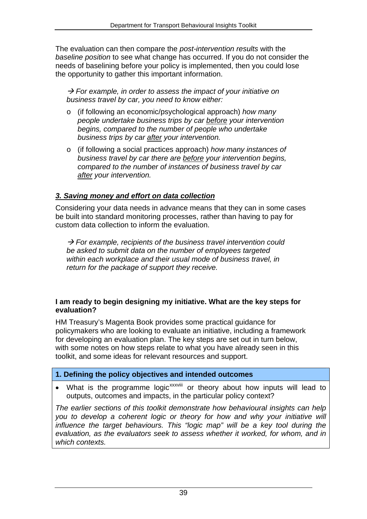The evaluation can then compare the *post-intervention results* with the *baseline position* to see what change has occurred. If you do not consider the needs of baselining before your policy is implemented, then you could lose the opportunity to gather this important information.

 *For example, in order to assess the impact of your initiative on business travel by car, you need to know either:* 

- o (if following an economic/psychological approach) *how many people undertake business trips by car before your intervention begins, compared to the number of people who undertake business trips by car after your intervention.*
- o (if following a social practices approach) *how many instances of business travel by car there are before your intervention begins, compared to the number of instances of business travel by car after your intervention.*

## *3. Saving money and effort on data collection*

Considering your data needs in advance means that they can in some cases be built into standard monitoring processes, rather than having to pay for custom data collection to inform the evaluation.

 *For example, recipients of the business travel intervention could be asked to submit data on the number of employees targeted within each workplace and their usual mode of business travel, in return for the package of support they receive.* 

#### **I am ready to begin designing my initiative. What are the key steps for evaluation?**

HM Treasury's Magenta Book provides some practical guidance for policymakers who are looking to evaluate an initiative, including a framework for developing an evaluation plan. The key steps are set out in turn below, with some notes on how steps relate to what you have already seen in this toolkit, and some ideas for relevant resources and support.

## **1. Defining the policy objectives and intended outcomes**

• What is the programme logic<sup>[xxxviii](#page-62-16)</sup> or theory about how inputs will lead to outputs, outcomes and impacts, in the particular policy context?

*The earlier sections of this toolkit demonstrate how behavioural insights can help*  you to develop a coherent logic or theory for how and why your initiative will influence the target behaviours. This "logic map" will be a key tool during the *evaluation, as the evaluators seek to assess whether it worked, for whom, and in which contexts.*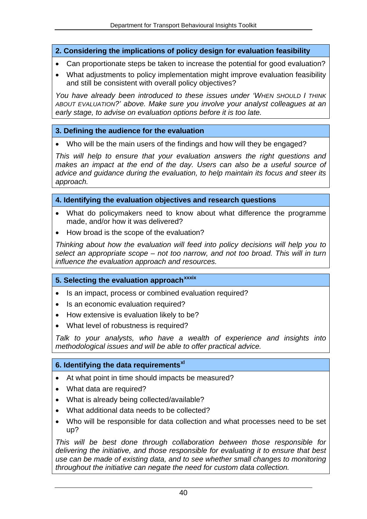**2. Considering the implications of policy design for evaluation feasibility** 

- Can proportionate steps be taken to increase the potential for good evaluation?
- What adjustments to policy implementation might improve evaluation feasibility and still be consistent with overall policy objectives?

*You have already been introduced to these issues under 'WHEN SHOULD I THINK ABOUT EVALUATION?' above. Make sure you involve your analyst colleagues at an early stage, to advise on evaluation options before it is too late.*

### **3. Defining the audience for the evaluation**

Who will be the main users of the findings and how will they be engaged?

*This will help to ensure that your evaluation answers the right questions and makes an impact at the end of the day. Users can also be a useful source of advice and guidance during the evaluation, to help maintain its focus and steer its approach.* 

#### **4. Identifying the evaluation objectives and research questions**

- What do policymakers need to know about what difference the programme made, and/or how it was delivered?
- How broad is the scope of the evaluation?

*Thinking about how the evaluation will feed into policy decisions will help you to select an appropriate scope – not too narrow, and not too broad. This will in turn influence the evaluation approach and resources.* 

## **5. Selecting the evaluation approach[xxxix](#page-62-17)**

- Is an impact, process or combined evaluation required?
- Is an economic evaluation required?
- How extensive is evaluation likely to be?
- What level of robustness is required?

*Talk to your analysts, who have a wealth of experience and insights into methodological issues and will be able to offer practical advice.*

#### **6. Identifying the data requirements[xl](#page-63-0)**

- At what point in time should impacts be measured?
- What data are required?
- What is already being collected/available?
- What additional data needs to be collected?
- Who will be responsible for data collection and what processes need to be set up?

*This will be best done through collaboration between those responsible for delivering the initiative, and those responsible for evaluating it to ensure that best use can be made of existing data, and to see whether small changes to monitoring throughout the initiative can negate the need for custom data collection.*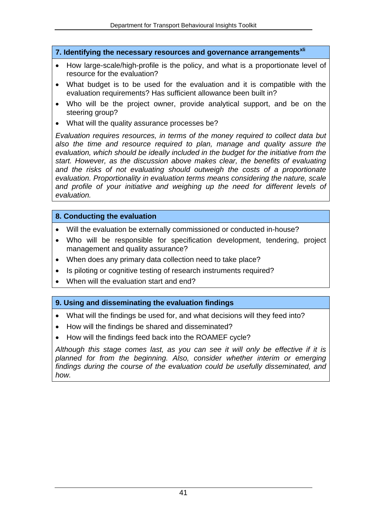**7. Identifying the necessary resources and governance arrangements[xli](#page-63-1)**

- How large-scale/high-profile is the policy, and what is a proportionate level of resource for the evaluation?
- What budget is to be used for the evaluation and it is compatible with the evaluation requirements? Has sufficient allowance been built in?
- Who will be the project owner, provide analytical support, and be on the steering group?
- What will the quality assurance processes be?

*Evaluation requires resources, in terms of the money required to collect data but also the time and resource required to plan, manage and quality assure the evaluation, which should be ideally included in the budget for the initiative from the start. However, as the discussion above makes clear, the benefits of evaluating and the risks of not evaluating should outweigh the costs of a proportionate evaluation. Proportionality in evaluation terms means considering the nature, scale*  and profile of your initiative and weighing up the need for different levels of *evaluation.*

#### **8. Conducting the evaluation**

- Will the evaluation be externally commissioned or conducted in-house?
- Who will be responsible for specification development, tendering, project management and quality assurance?
- When does any primary data collection need to take place?
- Is piloting or cognitive testing of research instruments required?
- When will the evaluation start and end?

#### **9. Using and disseminating the evaluation findings**

- What will the findings be used for, and what decisions will they feed into?
- How will the findings be shared and disseminated?
- How will the findings feed back into the ROAMEF cycle?

*Although this stage comes last, as you can see it will only be effective if it is planned for from the beginning. Also, consider whether interim or emerging findings during the course of the evaluation could be usefully disseminated, and how.*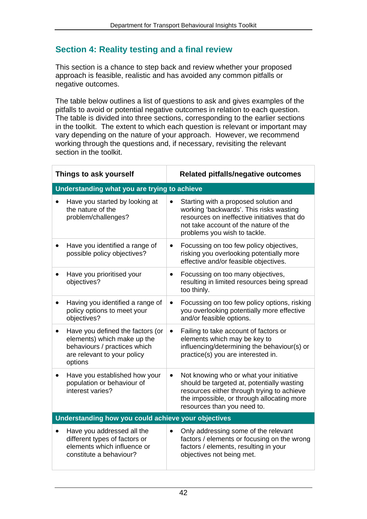## <span id="page-43-0"></span>**Section 4: Reality testing and a final review**

This section is a chance to step back and review whether your proposed approach is feasible, realistic and has avoided any common pitfalls or negative outcomes.

The table below outlines a list of questions to ask and gives examples of the pitfalls to avoid or potential negative outcomes in relation to each question. The table is divided into three sections, corresponding to the earlier sections in the toolkit. The extent to which each question is relevant or important may vary depending on the nature of your approach. However, we recommend working through the questions and, if necessary, revisiting the relevant section in the toolkit.

| Things to ask yourself                                                                                                                                 | <b>Related pitfalls/negative outcomes</b>                                                                                                                                                                                     |  |
|--------------------------------------------------------------------------------------------------------------------------------------------------------|-------------------------------------------------------------------------------------------------------------------------------------------------------------------------------------------------------------------------------|--|
| Understanding what you are trying to achieve                                                                                                           |                                                                                                                                                                                                                               |  |
| Have you started by looking at<br>the nature of the<br>problem/challenges?                                                                             | Starting with a proposed solution and<br>$\bullet$<br>working 'backwards'. This risks wasting<br>resources on ineffective initiatives that do<br>not take account of the nature of the<br>problems you wish to tackle.        |  |
| Have you identified a range of<br>possible policy objectives?                                                                                          | Focussing on too few policy objectives,<br>$\bullet$<br>risking you overlooking potentially more<br>effective and/or feasible objectives.                                                                                     |  |
| Have you prioritised your<br>$\bullet$<br>objectives?                                                                                                  | Focussing on too many objectives,<br>$\bullet$<br>resulting in limited resources being spread<br>too thinly.                                                                                                                  |  |
| Having you identified a range of<br>policy options to meet your<br>objectives?                                                                         | Focussing on too few policy options, risking<br>$\bullet$<br>you overlooking potentially more effective<br>and/or feasible options.                                                                                           |  |
| Have you defined the factors (or<br>$\bullet$<br>elements) which make up the<br>behaviours / practices which<br>are relevant to your policy<br>options | Failing to take account of factors or<br>$\bullet$<br>elements which may be key to<br>influencing/determining the behaviour(s) or<br>practice(s) you are interested in.                                                       |  |
| Have you established how your<br>$\bullet$<br>population or behaviour of<br>interest varies?                                                           | Not knowing who or what your initiative<br>$\bullet$<br>should be targeted at, potentially wasting<br>resources either through trying to achieve<br>the impossible, or through allocating more<br>resources than you need to. |  |
| Understanding how you could achieve your objectives                                                                                                    |                                                                                                                                                                                                                               |  |
| Have you addressed all the<br>different types of factors or<br>elements which influence or<br>constitute a behaviour?                                  | Only addressing some of the relevant<br>$\bullet$<br>factors / elements or focusing on the wrong<br>factors / elements, resulting in your<br>objectives not being met.                                                        |  |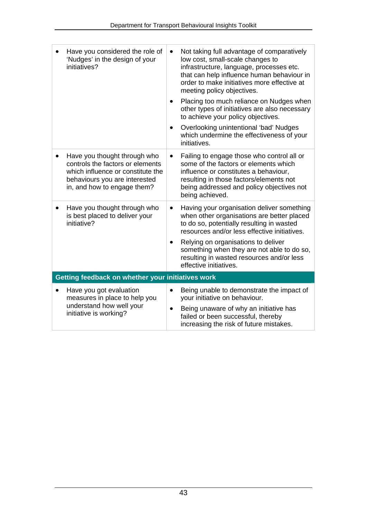| Have you considered the role of<br>'Nudges' in the design of your<br>initiatives?                                                                                     | Not taking full advantage of comparatively<br>$\bullet$<br>low cost, small-scale changes to<br>infrastructure, language, processes etc.<br>that can help influence human behaviour in<br>order to make initiatives more effective at<br>meeting policy objectives.<br>Placing too much reliance on Nudges when<br>$\bullet$<br>other types of initiatives are also necessary<br>to achieve your policy objectives.<br>Overlooking unintentional 'bad' Nudges<br>$\bullet$<br>which undermine the effectiveness of your<br>initiatives. |  |
|-----------------------------------------------------------------------------------------------------------------------------------------------------------------------|----------------------------------------------------------------------------------------------------------------------------------------------------------------------------------------------------------------------------------------------------------------------------------------------------------------------------------------------------------------------------------------------------------------------------------------------------------------------------------------------------------------------------------------|--|
| Have you thought through who<br>controls the factors or elements<br>which influence or constitute the<br>behaviours you are interested<br>in, and how to engage them? | Failing to engage those who control all or<br>٠<br>some of the factors or elements which<br>influence or constitutes a behaviour,<br>resulting in those factors/elements not<br>being addressed and policy objectives not<br>being achieved.                                                                                                                                                                                                                                                                                           |  |
| Have you thought through who<br>is best placed to deliver your<br>initiative?                                                                                         | Having your organisation deliver something<br>$\bullet$<br>when other organisations are better placed<br>to do so, potentially resulting in wasted<br>resources and/or less effective initiatives.<br>Relying on organisations to deliver<br>$\bullet$<br>something when they are not able to do so,<br>resulting in wasted resources and/or less<br>effective initiatives.                                                                                                                                                            |  |
| Getting feedback on whether your initiatives work                                                                                                                     |                                                                                                                                                                                                                                                                                                                                                                                                                                                                                                                                        |  |
| Have you got evaluation<br>measures in place to help you<br>understand how well your<br>initiative is working?                                                        | Being unable to demonstrate the impact of<br>$\bullet$<br>your initiative on behaviour.<br>Being unaware of why an initiative has<br>$\bullet$<br>failed or been successful, thereby<br>increasing the risk of future mistakes.                                                                                                                                                                                                                                                                                                        |  |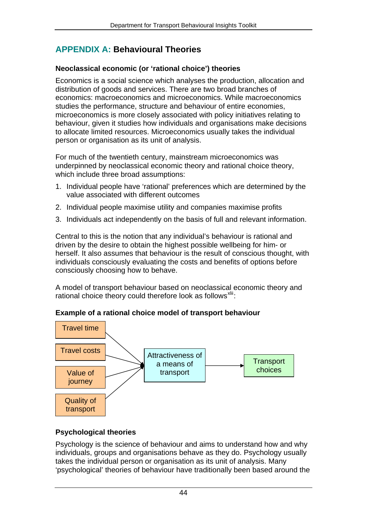## <span id="page-45-0"></span>**APPENDIX A: Behavioural Theories**

## **Neoclassical economic (or 'rational choice') theories**

Economics is a social science which analyses the production, allocation and distribution of goods and services. There are two broad branches of economics: macroeconomics and microeconomics. While macroeconomics studies the performance, structure and behaviour of entire economies, microeconomics is more closely associated with policy initiatives relating to behaviour, given it studies how individuals and organisations make decisions to allocate limited resources. Microeconomics usually takes the individual person or organisation as its unit of analysis.

For much of the twentieth century, mainstream microeconomics was underpinned by neoclassical economic theory and rational choice theory, which include three broad assumptions:

- 1. Individual people have 'rational' preferences which are determined by the value associated with different outcomes
- 2. Individual people maximise utility and companies maximise profits
- 3. Individuals act independently on the basis of full and relevant information.

Central to this is the notion that any individual's behaviour is rational and driven by the desire to obtain the highest possible wellbeing for him- or herself. It also assumes that behaviour is the result of conscious thought, with individuals consciously evaluating the costs and benefits of options before consciously choosing how to behave.

A model of transport behaviour based on neoclassical economic theory and rational choice theory could therefore look as follows<sup>[xlii](#page-63-2)</sup>:

#### Travel costs Quality of transport Value of journey Attractiveness of a means of transport Travel time **Transport** choices

## **Example of a rational choice model of transport behaviour**

## **Psychological theories**

Psychology is the science of behaviour and aims to understand how and why individuals, groups and organisations behave as they do. Psychology usually takes the individual person or organisation as its unit of analysis. Many 'psychological' theories of behaviour have traditionally been based around the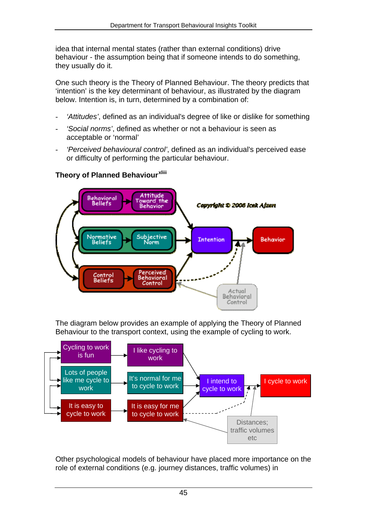idea that internal mental states (rather than external conditions) drive behaviour - the assumption being that if someone intends to do something, they usually do it.

One such theory is the Theory of Planned Behaviour. The theory predicts that 'intention' is the key determinant of behaviour, as illustrated by the diagram below. Intention is, in turn, determined by a combination of:

- *'Attitudes'*, defined as an individual's degree of like or dislike for something
- *'Social norms'*, defined as whether or not a behaviour is seen as acceptable or 'normal'
- *'Perceived behavioural control'*, defined as an individual's perceived ease or difficulty of performing the particular behaviour.



## **Theory of Planned Behaviour[xliii](#page-63-3)**

The diagram below provides an example of applying the Theory of Planned Behaviour to the transport context, using the example of cycling to work.



Other psychological models of behaviour have placed more importance on the role of external conditions (e.g. journey distances, traffic volumes) in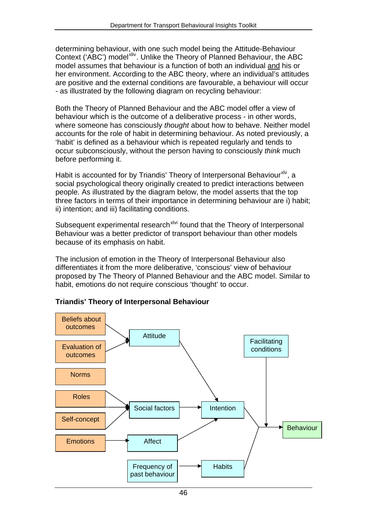determining behaviour, with one such model being the Attitude-Behaviour Context ('ABC') model<sup>[xliv](#page-63-4)</sup>. Unlike the Theory of Planned Behaviour, the ABC model assumes that behaviour is a function of both an individual and his or her environment. According to the ABC theory, where an individual's attitudes are positive and the external conditions are favourable, a behaviour will occur - as illustrated by the following diagram on recycling behaviour:

Both the Theory of Planned Behaviour and the ABC model offer a view of behaviour which is the outcome of a deliberative process - in other words, where someone has consciously *thought* about how to behave. Neither model accounts for the role of habit in determining behaviour. As noted previously, a 'habit' is defined as a behaviour which is repeated regularly and tends to occur subconsciously, without the person having to consciously *think* much before performing it.

Habit is accounted for by Triandis' Theory of Interpersonal Behaviour<sup>[xlv](#page-63-5)</sup>, a social psychological theory originally created to predict interactions between people. As illustrated by the diagram below, the model asserts that the top three factors in terms of their importance in determining behaviour are i) habit; ii) intention; and iii) facilitating conditions.

Subsequent experimental research<sup>[xlvi](#page-63-6)</sup> found that the Theory of Interpersonal Behaviour was a better predictor of transport behaviour than other models because of its emphasis on habit.

The inclusion of emotion in the Theory of Interpersonal Behaviour also differentiates it from the more deliberative, 'conscious' view of behaviour proposed by The Theory of Planned Behaviour and the ABC model. Similar to habit, emotions do not require conscious 'thought' to occur.



#### **Triandis' Theory of Interpersonal Behaviour**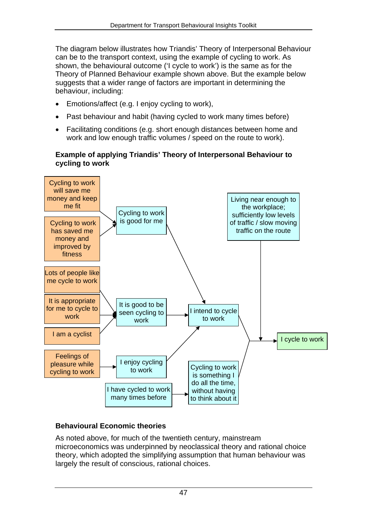The diagram below illustrates how Triandis' Theory of Interpersonal Behaviour can be to the transport context, using the example of cycling to work. As shown, the behavioural outcome ('I cycle to work') is the same as for the Theory of Planned Behaviour example shown above. But the example below suggests that a wider range of factors are important in determining the behaviour, including:

- Emotions/affect (e.g. I enjoy cycling to work),
- Past behaviour and habit (having cycled to work many times before)
- Facilitating conditions (e.g. short enough distances between home and work and low enough traffic volumes / speed on the route to work).

#### **Example of applying Triandis' Theory of Interpersonal Behaviour to cycling to work**



## **Behavioural Economic theories**

As noted above, for much of the twentieth century, mainstream microeconomics was underpinned by neoclassical theory and rational choice theory, which adopted the simplifying assumption that human behaviour was largely the result of conscious, rational choices.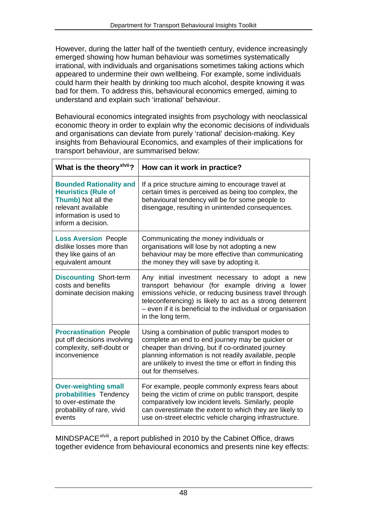However, during the latter half of the twentieth century, evidence increasingly emerged showing how human behaviour was sometimes systematically irrational, with individuals and organisations sometimes taking actions which appeared to undermine their own wellbeing. For example, some individuals could harm their health by drinking too much alcohol, despite knowing it was bad for them. To address this, behavioural economics emerged, aiming to understand and explain such 'irrational' behaviour.

Behavioural economics integrated insights from psychology with neoclassical economic theory in order to explain why the economic decisions of individuals and organisations can deviate from purely 'rational' decision-making. Key insights from Behavioural Economics, and examples of their implications for transport behaviour, are summarised below:

| What is the theory <sup>xivii</sup> ?                                                                                                                    | How can it work in practice?                                                                                                                                                                                                                                                                                   |
|----------------------------------------------------------------------------------------------------------------------------------------------------------|----------------------------------------------------------------------------------------------------------------------------------------------------------------------------------------------------------------------------------------------------------------------------------------------------------------|
| <b>Bounded Rationality and</b><br><b>Heuristics (Rule of</b><br>Thumb) Not all the<br>relevant available<br>information is used to<br>inform a decision. | If a price structure aiming to encourage travel at<br>certain times is perceived as being too complex, the<br>behavioural tendency will be for some people to<br>disengage, resulting in unintended consequences.                                                                                              |
| <b>Loss Aversion People</b><br>dislike losses more than<br>they like gains of an<br>equivalent amount                                                    | Communicating the money individuals or<br>organisations will lose by not adopting a new<br>behaviour may be more effective than communicating<br>the money they will save by adopting it.                                                                                                                      |
| <b>Discounting Short-term</b><br>costs and benefits<br>dominate decision making                                                                          | Any initial investment necessary to adopt a new<br>transport behaviour (for example driving a lower<br>emissions vehicle, or reducing business travel through<br>teleconferencing) is likely to act as a strong deterrent<br>- even if it is beneficial to the individual or organisation<br>in the long term. |
| <b>Procrastination People</b><br>put off decisions involving<br>complexity, self-doubt or<br>inconvenience                                               | Using a combination of public transport modes to<br>complete an end to end journey may be quicker or<br>cheaper than driving, but if co-ordinated journey<br>planning information is not readily available, people<br>are unlikely to invest the time or effort in finding this<br>out for themselves.         |
| <b>Over-weighting small</b><br>probabilities Tendency<br>to over-estimate the<br>probability of rare, vivid<br>events                                    | For example, people commonly express fears about<br>being the victim of crime on public transport, despite<br>comparatively low incident levels. Similarly, people<br>can overestimate the extent to which they are likely to<br>use on-street electric vehicle charging infrastructure.                       |

MINDSPACE<sup>[xlviii](#page-63-8)</sup>, a report published in 2010 by the Cabinet Office, draws together evidence from behavioural economics and presents nine key effects: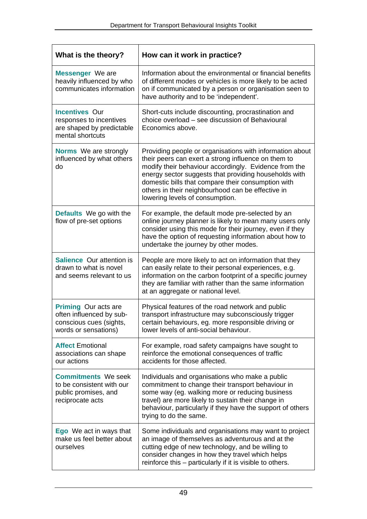| What is the theory?                                                                                        | How can it work in practice?                                                                                                                                                                                                                                                                                                                                                    |
|------------------------------------------------------------------------------------------------------------|---------------------------------------------------------------------------------------------------------------------------------------------------------------------------------------------------------------------------------------------------------------------------------------------------------------------------------------------------------------------------------|
| <b>Messenger</b> We are<br>heavily influenced by who<br>communicates information                           | Information about the environmental or financial benefits<br>of different modes or vehicles is more likely to be acted<br>on if communicated by a person or organisation seen to<br>have authority and to be 'independent'.                                                                                                                                                     |
| <b>Incentives Our</b><br>responses to incentives<br>are shaped by predictable<br>mental shortcuts          | Short-cuts include discounting, procrastination and<br>choice overload – see discussion of Behavioural<br>Economics above.                                                                                                                                                                                                                                                      |
| Norms We are strongly<br>influenced by what others<br>do                                                   | Providing people or organisations with information about<br>their peers can exert a strong influence on them to<br>modify their behaviour accordingly. Evidence from the<br>energy sector suggests that providing households with<br>domestic bills that compare their consumption with<br>others in their neighbourhood can be effective in<br>lowering levels of consumption. |
| Defaults We go with the<br>flow of pre-set options                                                         | For example, the default mode pre-selected by an<br>online journey planner is likely to mean many users only<br>consider using this mode for their journey, even if they<br>have the option of requesting information about how to<br>undertake the journey by other modes.                                                                                                     |
| <b>Salience Our attention is</b><br>drawn to what is novel<br>and seems relevant to us                     | People are more likely to act on information that they<br>can easily relate to their personal experiences, e.g.<br>information on the carbon footprint of a specific journey<br>they are familiar with rather than the same information<br>at an aggregate or national level.                                                                                                   |
| <b>Priming Our acts are</b><br>often influenced by sub-<br>conscious cues (sights,<br>words or sensations) | Physical features of the road network and public<br>transport infrastructure may subconsciously trigger<br>certain behaviours, eg. more responsible driving or<br>lower levels of anti-social behaviour.                                                                                                                                                                        |
| <b>Affect Emotional</b><br>associations can shape<br>our actions                                           | For example, road safety campaigns have sought to<br>reinforce the emotional consequences of traffic<br>accidents for those affected.                                                                                                                                                                                                                                           |
| <b>Commitments We seek</b><br>to be consistent with our<br>public promises, and<br>reciprocate acts        | Individuals and organisations who make a public<br>commitment to change their transport behaviour in<br>some way (eg. walking more or reducing business<br>travel) are more likely to sustain their change in<br>behaviour, particularly if they have the support of others<br>trying to do the same.                                                                           |
| <b>Ego</b> We act in ways that<br>make us feel better about<br>ourselves                                   | Some individuals and organisations may want to project<br>an image of themselves as adventurous and at the<br>cutting edge of new technology, and be willing to<br>consider changes in how they travel which helps<br>reinforce this – particularly if it is visible to others.                                                                                                 |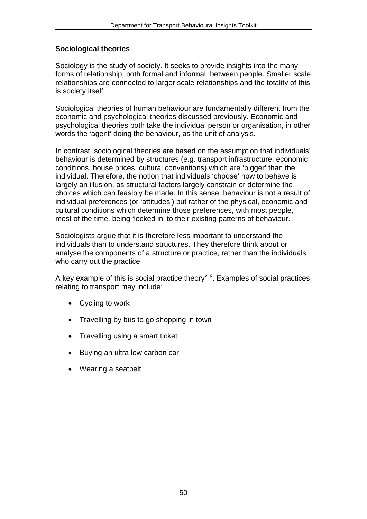## **Sociological theories**

Sociology is the study of society. It seeks to provide insights into the many forms of relationship, both formal and informal, between people. Smaller scale relationships are connected to larger scale relationships and the totality of this is society itself.

Sociological theories of human behaviour are fundamentally different from the economic and psychological theories discussed previously. Economic and psychological theories both take the individual person or organisation, in other words the 'agent' doing the behaviour, as the unit of analysis.

In contrast, sociological theories are based on the assumption that individuals' behaviour is determined by structures (e.g. transport infrastructure, economic conditions, house prices, cultural conventions) which are 'bigger' than the individual. Therefore, the notion that individuals 'choose' how to behave is largely an illusion, as structural factors largely constrain or determine the choices which can feasibly be made. In this sense, behaviour is not a result of individual preferences (or 'attitudes') but rather of the physical, economic and cultural conditions which determine those preferences, with most people, most of the time, being 'locked in' to their existing patterns of behaviour.

Sociologists argue that it is therefore less important to understand the individuals than to understand structures. They therefore think about or analyse the components of a structure or practice, rather than the individuals who carry out the practice.

A key example of this is social practice theory<sup>[xlix](#page-63-9)</sup>. Examples of social practices relating to transport may include:

- Cycling to work
- Travelling by bus to go shopping in town
- Travelling using a smart ticket
- Buying an ultra low carbon car
- Wearing a seatbelt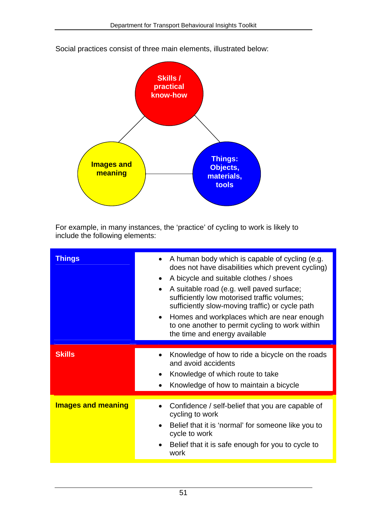

Social practices consist of three main elements, illustrated below:

For example, in many instances, the 'practice' of cycling to work is likely to include the following elements:

| Things                    | A human body which is capable of cycling (e.g.<br>does not have disabilities which prevent cycling)<br>A bicycle and suitable clothes / shoes<br>$\bullet$<br>A suitable road (e.g. well paved surface;<br>sufficiently low motorised traffic volumes;<br>sufficiently slow-moving traffic) or cycle path<br>Homes and workplaces which are near enough<br>to one another to permit cycling to work within<br>the time and energy available |
|---------------------------|---------------------------------------------------------------------------------------------------------------------------------------------------------------------------------------------------------------------------------------------------------------------------------------------------------------------------------------------------------------------------------------------------------------------------------------------|
| <b>Skills</b>             | Knowledge of how to ride a bicycle on the roads<br>and avoid accidents<br>Knowledge of which route to take<br>Knowledge of how to maintain a bicycle                                                                                                                                                                                                                                                                                        |
| <b>Images and meaning</b> | Confidence / self-belief that you are capable of<br>cycling to work<br>Belief that it is 'normal' for someone like you to<br>cycle to work<br>Belief that it is safe enough for you to cycle to<br>work                                                                                                                                                                                                                                     |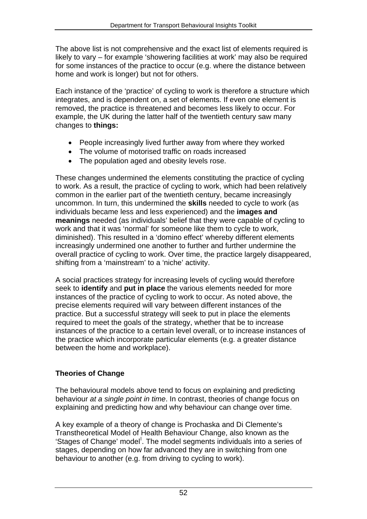The above list is not comprehensive and the exact list of elements required is likely to vary – for example 'showering facilities at work' may also be required for some instances of the practice to occur (e.g. where the distance between home and work is longer) but not for others.

Each instance of the 'practice' of cycling to work is therefore a structure which integrates, and is dependent on, a set of elements. If even one element is removed, the practice is threatened and becomes less likely to occur. For example, the UK during the latter half of the twentieth century saw many changes to **things:**

- People increasingly lived further away from where they worked
- The volume of motorised traffic on roads increased
- The population aged and obesity levels rose.

These changes undermined the elements constituting the practice of cycling to work. As a result, the practice of cycling to work, which had been relatively common in the earlier part of the twentieth century, became increasingly uncommon. In turn, this undermined the **skills** needed to cycle to work (as individuals became less and less experienced) and the **images and meanings** needed (as individuals' belief that they were capable of cycling to work and that it was 'normal' for someone like them to cycle to work, diminished). This resulted in a 'domino effect' whereby different elements increasingly undermined one another to further and further undermine the overall practice of cycling to work. Over time, the practice largely disappeared, shifting from a 'mainstream' to a 'niche' activity.

A social practices strategy for increasing levels of cycling would therefore seek to **identify** and **put in place** the various elements needed for more instances of the practice of cycling to work to occur. As noted above, the precise elements required will vary between different instances of the practice. But a successful strategy will seek to put in place the elements required to meet the goals of the strategy, whether that be to increase instances of the practice to a certain level overall, or to increase instances of the practice which incorporate particular elements (e.g. a greater distance between the home and workplace).

## **Theories of Change**

The behavioural models above tend to focus on explaining and predicting behaviour *at a single point in time*. In contrast, theories of change focus on explaining and predicting how and why behaviour can change over time.

A key example of a theory of change is Prochaska and Di Clemente's Transtheoretical Model of Health Behaviour Change, also known as the 'Stages of Change' mode[l](#page-63-10)<sup>1</sup>. The model segments individuals into a series of stages, depending on how far advanced they are in switching from one behaviour to another (e.g. from driving to cycling to work).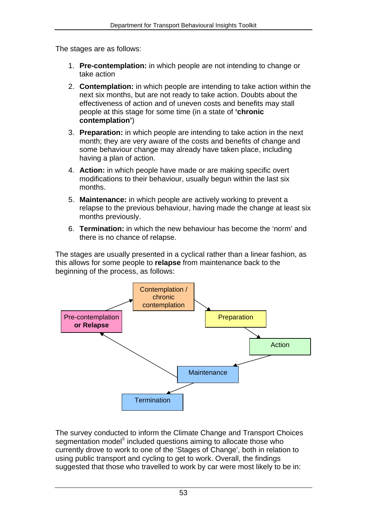The stages are as follows:

- 1. **Pre-contemplation:** in which people are not intending to change or take action
- 2. **Contemplation:** in which people are intending to take action within the next six months, but are not ready to take action. Doubts about the effectiveness of action and of uneven costs and benefits may stall people at this stage for some time (in a state of **'chronic contemplation'**)
- 3. **Preparation:** in which people are intending to take action in the next month; they are very aware of the costs and benefits of change and some behaviour change may already have taken place, including having a plan of action.
- 4. **Action:** in which people have made or are making specific overt modifications to their behaviour, usually begun within the last six months.
- 5. **Maintenance:** in which people are actively working to prevent a relapse to the previous behaviour, having made the change at least six months previously.
- 6. **Termination:** in which the new behaviour has become the 'norm' and there is no chance of relapse.

The stages are usually presented in a cyclical rather than a linear fashion, as this allows for some people to **relapse** from maintenance back to the beginning of the process, as follows:



The survey conducted to inform the Climate Change and Transport Choices segmentation model<sup>[li](#page-63-11)</sup> included questions aiming to allocate those who currently drove to work to one of the 'Stages of Change', both in relation to using public transport and cycling to get to work. Overall, the findings suggested that those who travelled to work by car were most likely to be in: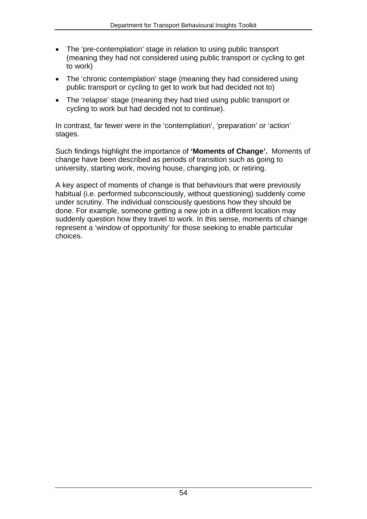- The 'pre-contemplation' stage in relation to using public transport (meaning they had not considered using public transport or cycling to get to work)
- The 'chronic contemplation' stage (meaning they had considered using public transport or cycling to get to work but had decided not to)
- The 'relapse' stage (meaning they had tried using public transport or cycling to work but had decided not to continue).

In contrast, far fewer were in the 'contemplation', 'preparation' or 'action' stages.

Such findings highlight the importance of **'Moments of Change'.** Moments of change have been described as periods of transition such as going to university, starting work, moving house, changing job, or retiring.

A key aspect of moments of change is that behaviours that were previously habitual (i.e. performed subconsciously, without questioning) suddenly come under scrutiny. The individual consciously questions how they should be done. For example, someone getting a new job in a different location may suddenly question how they travel to work. In this sense, moments of change represent a 'window of opportunity' for those seeking to enable particular choices.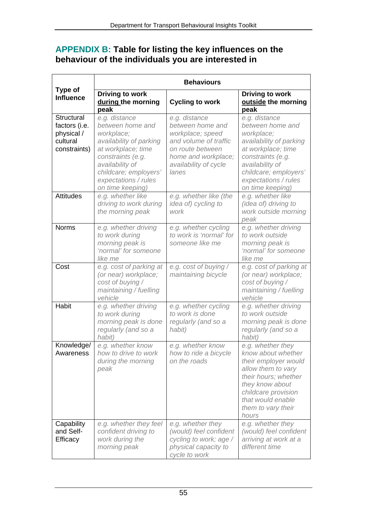## <span id="page-56-0"></span>**APPENDIX B: Table for listing the key influences on the behaviour of the individuals you are interested in**

|                                                                       | <b>Behaviours</b>                                                                                                                                                                                             |                                                                                                                                                             |                                                                                                                                                                                                               |  |
|-----------------------------------------------------------------------|---------------------------------------------------------------------------------------------------------------------------------------------------------------------------------------------------------------|-------------------------------------------------------------------------------------------------------------------------------------------------------------|---------------------------------------------------------------------------------------------------------------------------------------------------------------------------------------------------------------|--|
| Type of<br><b>Influence</b>                                           | Driving to work<br>during the morning<br>peak                                                                                                                                                                 | <b>Cycling to work</b>                                                                                                                                      | Driving to work<br>outside the morning<br>peak                                                                                                                                                                |  |
| Structural<br>factors (i.e.<br>physical /<br>cultural<br>constraints) | e.g. distance<br>between home and<br>workplace;<br>availability of parking<br>at workplace; time<br>constraints (e.g.<br>availability of<br>childcare; employers'<br>expectations / rules<br>on time keeping) | e.g. distance<br>between home and<br>workplace; speed<br>and volume of traffic<br>on route between<br>home and workplace;<br>availability of cycle<br>lanes | e.g. distance<br>between home and<br>workplace;<br>availability of parking<br>at workplace; time<br>constraints (e.g.<br>availability of<br>childcare; employers'<br>expectations / rules<br>on time keeping) |  |
| <b>Attitudes</b>                                                      | e.g. whether like<br>driving to work during<br>the morning peak                                                                                                                                               | e.g. whether like (the<br>idea of) cycling to<br>work                                                                                                       | e.g. whether like<br>(idea of) driving to<br>work outside morning<br>peak                                                                                                                                     |  |
| <b>Norms</b>                                                          | e.g. whether driving<br>to work during<br>morning peak is<br>'normal' for someone<br>like me                                                                                                                  | e.g. whether cycling<br>to work is 'normal' for<br>someone like me                                                                                          | e.g. whether driving<br>to work outside<br>morning peak is<br>'normal' for someone<br>like me                                                                                                                 |  |
| Cost                                                                  | e.g. cost of parking at<br>(or near) workplace;<br>cost of buying /<br>maintaining / fuelling<br>vehicle                                                                                                      | e.g. cost of buying /<br>maintaining bicycle                                                                                                                | e.g. cost of parking at<br>(or near) workplace;<br>cost of buying /<br>maintaining / fuelling<br>vehicle                                                                                                      |  |
| Habit                                                                 | e.g. whether driving<br>to work during<br>morning peak is done<br>regularly (and so a<br>habit)                                                                                                               | e.g. whether cycling<br>to work is done<br>regularly (and so a<br>habit)                                                                                    | e.g. whether driving<br>to work outside<br>morning peak is done<br>regularly (and so a<br>habit)                                                                                                              |  |
| Knowledge/<br>Awareness                                               | e.g. whether know<br>how to drive to work<br>during the morning<br>peak                                                                                                                                       | e.g. whether know<br>how to ride a bicycle<br>on the roads                                                                                                  | e.g. whether they<br>know about whether<br>their employer would<br>allow them to vary<br>their hours; whether<br>they know about<br>childcare provision<br>that would enable<br>them to vary their<br>hours   |  |
| Capability<br>and Self-<br>Efficacy                                   | e.g. whether they feel<br>confident driving to<br>work during the<br>morning peak                                                                                                                             | e.g. whether they<br>(would) feel confident<br>cycling to work; age /<br>physical capacity to<br>cycle to work                                              | e.g. whether they<br>(would) feel confident<br>arriving at work at a<br>different time                                                                                                                        |  |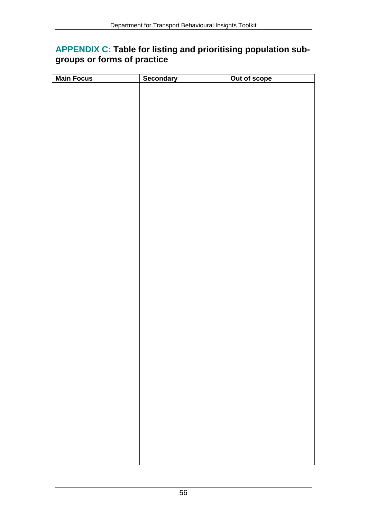## <span id="page-57-0"></span>**APPENDIX C: Table for listing and prioritising population subgroups or forms of practice**

| <b>Main Focus</b> | Secondary | Out of scope |
|-------------------|-----------|--------------|
|                   |           |              |
|                   |           |              |
|                   |           |              |
|                   |           |              |
|                   |           |              |
|                   |           |              |
|                   |           |              |
|                   |           |              |
|                   |           |              |
|                   |           |              |
|                   |           |              |
|                   |           |              |
|                   |           |              |
|                   |           |              |
|                   |           |              |
|                   |           |              |
|                   |           |              |
|                   |           |              |
|                   |           |              |
|                   |           |              |
|                   |           |              |
|                   |           |              |
|                   |           |              |
|                   |           |              |
|                   |           |              |
|                   |           |              |
|                   |           |              |
|                   |           |              |
|                   |           |              |
|                   |           |              |
|                   |           |              |
|                   |           |              |
|                   |           |              |
|                   |           |              |
|                   |           |              |
|                   |           |              |
|                   |           |              |
|                   |           |              |
|                   |           |              |
|                   |           |              |
|                   |           |              |
|                   |           |              |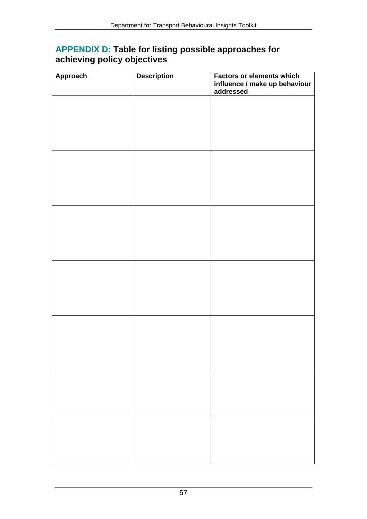## <span id="page-58-0"></span>**APPENDIX D: Table for listing possible approaches for achieving policy objectives**

| <b>Approach</b> | <b>Description</b> | <b>Factors or elements which</b><br>influence / make up behaviour<br>addressed |
|-----------------|--------------------|--------------------------------------------------------------------------------|
|                 |                    |                                                                                |
|                 |                    |                                                                                |
|                 |                    |                                                                                |
|                 |                    |                                                                                |
|                 |                    |                                                                                |
|                 |                    |                                                                                |
|                 |                    |                                                                                |
|                 |                    |                                                                                |
|                 |                    |                                                                                |
|                 |                    |                                                                                |
|                 |                    |                                                                                |
|                 |                    |                                                                                |
|                 |                    |                                                                                |
|                 |                    |                                                                                |
|                 |                    |                                                                                |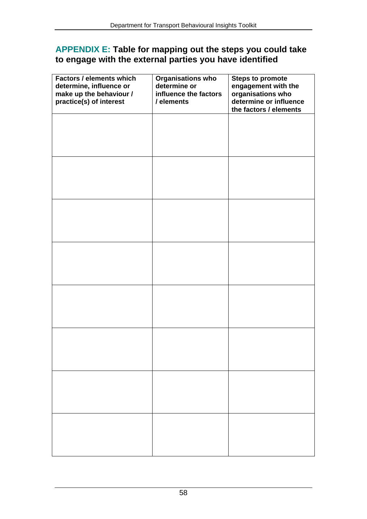## <span id="page-59-0"></span>**APPENDIX E: Table for mapping out the steps you could take to engage with the external parties you have identified**

| <b>Factors / elements which</b><br>determine, influence or<br>make up the behaviour /<br>practice(s) of interest | <b>Organisations who</b><br>determine or<br>influence the factors<br>/ elements | <b>Steps to promote</b><br>engagement with the<br>organisations who<br>determine or influence<br>the factors / elements |
|------------------------------------------------------------------------------------------------------------------|---------------------------------------------------------------------------------|-------------------------------------------------------------------------------------------------------------------------|
|                                                                                                                  |                                                                                 |                                                                                                                         |
|                                                                                                                  |                                                                                 |                                                                                                                         |
|                                                                                                                  |                                                                                 |                                                                                                                         |
|                                                                                                                  |                                                                                 |                                                                                                                         |
|                                                                                                                  |                                                                                 |                                                                                                                         |
|                                                                                                                  |                                                                                 |                                                                                                                         |
|                                                                                                                  |                                                                                 |                                                                                                                         |
|                                                                                                                  |                                                                                 |                                                                                                                         |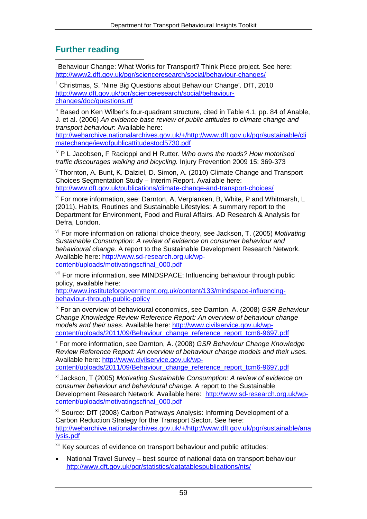## <span id="page-60-1"></span>**Further reading**

<span id="page-60-0"></span>1 i Behaviour Change: What Works for Transport? Think Piece project. See here: <http://www2.dft.gov.uk/pgr/scienceresearch/social/behaviour-changes/>

<span id="page-60-2"></span><sup>ii</sup> Christmas, S. 'Nine Big Questions about Behaviour Change'. DfT, 2010 [http://www.dft.gov.uk/pgr/scienceresearch/social/behaviour](http://www.dft.gov.uk/pgr/scienceresearch/social/behaviour-changes/doc/questions.rtf)[changes/doc/questions.rtf](http://www.dft.gov.uk/pgr/scienceresearch/social/behaviour-changes/doc/questions.rtf)

<span id="page-60-3"></span>III Based on Ken Wilber's four-quadrant structure, cited in Table 4.1, pp. 84 of Anable, J. et al. (2006) *An evidence base review of public attitudes to climate change and transport behaviour*: Available here:

[http://webarchive.nationalarchives.gov.uk/+/http://www.dft.gov.uk/pgr/sustainable/cli](http://webarchive.nationalarchives.gov.uk/+/http://www.dft.gov.uk/pgr/sustainable/climatechange/iewofpublicattitudestocl5730.pdf) [matechange/iewofpublicattitudestocl5730.pdf](http://webarchive.nationalarchives.gov.uk/+/http://www.dft.gov.uk/pgr/sustainable/climatechange/iewofpublicattitudestocl5730.pdf) 

<span id="page-60-4"></span>iv P L Jacobsen, F Racioppi and H Rutter. *Who owns the roads? How motorised traffic discourages walking and bicycling.* Injury Prevention 2009 15: 369-373

<span id="page-60-5"></span>v Thornton, A. Bunt, K. Dalziel, D. Simon, A. (2010) Climate Change and Transport Choices Segmentation Study – Interim Report. Available here: <http://www.dft.gov.uk/publications/climate-change-and-transport-choices/>

<span id="page-60-6"></span>vi For more information, see: Darnton, A, Verplanken, B, White, P and Whitmarsh, L (2011). Habits, Routines and Sustainable Lifestyles: A summary report to the Department for Environment, Food and Rural Affairs. AD Research & Analysis for Defra, London.

<span id="page-60-7"></span>vii For more information on rational choice theory, see Jackson, T. (2005) *Motivating Sustainable Consumption: A review of evidence on consumer behaviour and behavioural change.* A report to the Sustainable Development Research Network. Available here: [http://www.sd-research.org.uk/wp](http://www.sd-research.org.uk/wp-content/uploads/motivatingscfinal_000.pdf)[content/uploads/motivatingscfinal\\_000.pdf](http://www.sd-research.org.uk/wp-content/uploads/motivatingscfinal_000.pdf) 

<span id="page-60-8"></span>viii For more information, see MINDSPACE: Influencing behaviour through public policy, available here:

[http://www.instituteforgovernment.org.uk/content/133/mindspace-influencing](http://www.instituteforgovernment.org.uk/content/133/mindspace-influencing-behaviour-through-public-policy)[behaviour-through-public-policy](http://www.instituteforgovernment.org.uk/content/133/mindspace-influencing-behaviour-through-public-policy)

ix For an overview of behavioural economics, see Darnton, A. (2008) *GSR Behaviour Change Knowledge Review Reference Report: An overview of behaviour change models and their uses.* Available here: [http://www.civilservice.gov.uk/wp](http://www.civilservice.gov.uk/wp-content/uploads/2011/09/Behaviour_change_reference_report_tcm6-9697.pdf)[content/uploads/2011/09/Behaviour\\_change\\_reference\\_report\\_tcm6-9697.pdf](http://www.civilservice.gov.uk/wp-content/uploads/2011/09/Behaviour_change_reference_report_tcm6-9697.pdf)

<span id="page-60-9"></span>x For more information, see Darnton, A. (2008) *GSR Behaviour Change Knowledge Review Reference Report: An overview of behaviour change models and their uses.* Available here: [http://www.civilservice.gov.uk/wp-](http://www.civilservice.gov.uk/wp-content/uploads/2011/09/Behaviour_change_reference_report_tcm6-9697.pdf)

[content/uploads/2011/09/Behaviour\\_change\\_reference\\_report\\_tcm6-9697.pdf](http://www.civilservice.gov.uk/wp-content/uploads/2011/09/Behaviour_change_reference_report_tcm6-9697.pdf)

<span id="page-60-10"></span>xi Jackson, T (2005) *Motivating Sustainable Consumption: A review of evidence on consumer behaviour and behavioural change.* A report to the Sustainable Development Research Network. Available here: [http://www.sd-research.org.uk/wp](http://www.sd-research.org.uk/wp-content/uploads/motivatingscfinal_000.pdf)[content/uploads/motivatingscfinal\\_000.pdf](http://www.sd-research.org.uk/wp-content/uploads/motivatingscfinal_000.pdf) 

<span id="page-60-11"></span>xii Source: DfT (2008) Carbon Pathways Analysis: Informing Development of a Carbon Reduction Strategy for the Transport Sector. See here: [http://webarchive.nationalarchives.gov.uk/+/http://www.dft.gov.uk/pgr/sustainable/ana](http://webarchive.nationalarchives.gov.uk/+/http://www.dft.gov.uk/pgr/sustainable/analysis.pdf) [lysis.pdf](http://webarchive.nationalarchives.gov.uk/+/http://www.dft.gov.uk/pgr/sustainable/analysis.pdf) 

<span id="page-60-12"></span>xiii Key sources of evidence on transport behaviour and public attitudes:

 National Travel Survey – best source of national data on transport behaviour <http://www.dft.gov.uk/pgr/statistics/datatablespublications/nts/>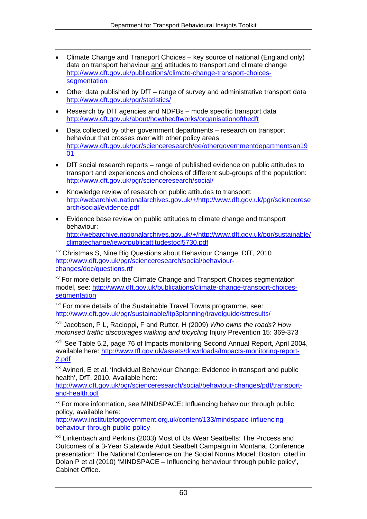- Climate Change and Transport Choices key source of national (England only) data on transport behaviour and attitudes to transport and climate change [http://www.dft.gov.uk/publications/climate-change-transport-choices](http://www.dft.gov.uk/publications/climate-change-transport-choices-segmentation)[segmentation](http://www.dft.gov.uk/publications/climate-change-transport-choices-segmentation)
- Other data published by DfT range of survey and administrative transport data <http://www.dft.gov.uk/pgr/statistics/>
- Research by DfT agencies and NDPBs mode specific transport data <http://www.dft.gov.uk/about/howthedftworks/organisationofthedft>

1

- Data collected by other government departments research on transport behaviour that crosses over with other policy areas [http://www.dft.gov.uk/pgr/scienceresearch/ee/othergovernmentdepartmentsan19](http://www.dft.gov.uk/pgr/scienceresearch/ee/othergovernmentdepartmentsan1901) [01](http://www.dft.gov.uk/pgr/scienceresearch/ee/othergovernmentdepartmentsan1901)
- DfT social research reports range of published evidence on public attitudes to transport and experiences and choices of different sub-groups of the population: <http://www.dft.gov.uk/pgr/scienceresearch/social/>
- Knowledge review of research on public attitudes to transport: [http://webarchive.nationalarchives.gov.uk/+/http://www.dft.gov.uk/pgr/sciencerese](http://webarchive.nationalarchives.gov.uk/+/http://www.dft.gov.uk/pgr/scienceresearch/social/evidence.pdf) [arch/social/evidence.pdf](http://webarchive.nationalarchives.gov.uk/+/http://www.dft.gov.uk/pgr/scienceresearch/social/evidence.pdf)
- Evidence base review on public attitudes to climate change and transport behaviour: [http://webarchive.nationalarchives.gov.uk/+/http://www.dft.gov.uk/pgr/sustainable/](http://webarchive.nationalarchives.gov.uk/+/http://www.dft.gov.uk/pgr/sustainable/climatechange/iewofpublicattitudestocl5730.pdf) [climatechange/iewofpublicattitudestocl5730.pdf](http://webarchive.nationalarchives.gov.uk/+/http://www.dft.gov.uk/pgr/sustainable/climatechange/iewofpublicattitudestocl5730.pdf)

<span id="page-61-0"></span>xiv Christmas S, Nine Big Questions about Behaviour Change, DfT, 2010 [http://www.dft.gov.uk/pgr/scienceresearch/social/behaviour](http://www.dft.gov.uk/pgr/scienceresearch/social/behaviour-changes/doc/questions.rtf)[changes/doc/questions.rtf](http://www.dft.gov.uk/pgr/scienceresearch/social/behaviour-changes/doc/questions.rtf)

<span id="page-61-1"></span>xv For more details on the Climate Change and Transport Choices segmentation model, see: [http://www.dft.gov.uk/publications/climate-change-transport-choices](http://www.dft.gov.uk/publications/climate-change-transport-choices-segmentation)[segmentation](http://www.dft.gov.uk/publications/climate-change-transport-choices-segmentation)

<span id="page-61-2"></span><sup>xvi</sup> For more details of the Sustainable Travel Towns programme, see: <http://www.dft.gov.uk/pgr/sustainable/ltp3planning/travelguide/sttresults/>

<span id="page-61-3"></span>xvii Jacobsen, P L, Racioppi, F and Rutter, H (2009) *Who owns the roads? How motorised traffic discourages walking and bicycling* Injury Prevention 15: 369-373

<span id="page-61-4"></span>xviii See Table 5.2, page 76 of Impacts monitoring Second Annual Report, April 2004, available here: [http://www.tfl.gov.uk/assets/downloads/Impacts-monitoring-report-](http://www.tfl.gov.uk/assets/downloads/Impacts-monitoring-report-2.pdf)[2.pdf](http://www.tfl.gov.uk/assets/downloads/Impacts-monitoring-report-2.pdf)

<span id="page-61-5"></span>xix Avineri, E et al. 'Individual Behaviour Change: Evidence in transport and public health', DfT, 2010. Available here:

[http://www.dft.gov.uk/pgr/scienceresearch/social/behaviour-changes/pdf/transport](http://www.dft.gov.uk/pgr/scienceresearch/social/behaviour-changes/pdf/transport-and-health.pdf)[and-health.pdf](http://www.dft.gov.uk/pgr/scienceresearch/social/behaviour-changes/pdf/transport-and-health.pdf)

<span id="page-61-6"></span><sup>xx</sup> For more information, see MINDSPACE: Influencing behaviour through public policy, available here:

[http://www.instituteforgovernment.org.uk/content/133/mindspace-influencing](http://www.instituteforgovernment.org.uk/content/133/mindspace-influencing-behaviour-through-public-policy)[behaviour-through-public-policy](http://www.instituteforgovernment.org.uk/content/133/mindspace-influencing-behaviour-through-public-policy)

<span id="page-61-7"></span>xxi Linkenbach and Perkins (2003) Most of Us Wear Seatbelts: The Process and Outcomes of a 3-Year Statewide Adult Seatbelt Campaign in Montana. Conference presentation: The National Conference on the Social Norms Model, Boston, cited in Dolan P et al (2010) 'MINDSPACE – Influencing behaviour through public policy', Cabinet Office.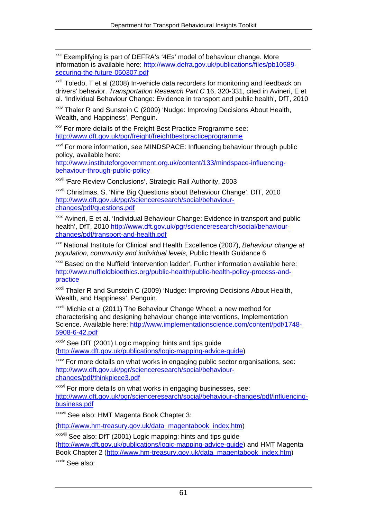<span id="page-62-0"></span><sup>xxii</sup> Exemplifying is part of DEFRA's '4Es' model of behaviour change. More information is available here: [http://www.defra.gov.uk/publications/files/pb10589](http://www.defra.gov.uk/publications/files/pb10589-securing-the-future-050307.pdf) [securing-the-future-050307.pdf](http://www.defra.gov.uk/publications/files/pb10589-securing-the-future-050307.pdf)

<span id="page-62-1"></span><sup>xxiii</sup> Toledo. T et al (2008) In-vehicle data recorders for monitoring and feedback on drivers' behavior. *Transportation Research Part C* 16, 320-331, cited in Avineri, E et al. 'Individual Behaviour Change: Evidence in transport and public health', DfT, 2010

<span id="page-62-2"></span>xxiv Thaler R and Sunstein C (2009) 'Nudge: Improving Decisions About Health, Wealth, and Happiness', Penguin.

<span id="page-62-3"></span>**xxv** For more details of the Freight Best Practice Programme see: <http://www.dft.gov.uk/pgr/freight/freightbestpracticeprogramme>

<span id="page-62-4"></span>xxvi For more information, see MINDSPACE: Influencing behaviour through public policy, available here:

[http://www.instituteforgovernment.org.uk/content/133/mindspace-influencing](http://www.instituteforgovernment.org.uk/content/133/mindspace-influencing-behaviour-through-public-policy)[behaviour-through-public-policy](http://www.instituteforgovernment.org.uk/content/133/mindspace-influencing-behaviour-through-public-policy)

<span id="page-62-5"></span>xxvii 'Fare Review Conclusions', Strategic Rail Authority, 2003

<span id="page-62-6"></span>xxviii Christmas, S. 'Nine Big Questions about Behaviour Change'. DfT, 2010 [http://www.dft.gov.uk/pgr/scienceresearch/social/behaviour](http://www.dft.gov.uk/pgr/scienceresearch/social/behaviour-changes/pdf/questions.pdf)[changes/pdf/questions.pdf](http://www.dft.gov.uk/pgr/scienceresearch/social/behaviour-changes/pdf/questions.pdf)

<span id="page-62-7"></span>xxix Avineri, E et al. 'Individual Behaviour Change: Evidence in transport and public health', DfT, 2010 [http://www.dft.gov.uk/pgr/scienceresearch/social/behaviour](http://www.dft.gov.uk/pgr/scienceresearch/social/behaviour-changes/pdf/transport-and-health.pdf)[changes/pdf/transport-and-health.pdf](http://www.dft.gov.uk/pgr/scienceresearch/social/behaviour-changes/pdf/transport-and-health.pdf)

<span id="page-62-8"></span>xxx National Institute for Clinical and Health Excellence (2007), *Behaviour change at population, community and individual levels,* Public Health Guidance 6

<span id="page-62-9"></span>xxxi Based on the Nuffield 'intervention ladder'. Further information available here: [http://www.nuffieldbioethics.org/public-health/public-health-policy-process-and](http://www.nuffieldbioethics.org/public-health/public-health-policy-process-and-practice)[practice](http://www.nuffieldbioethics.org/public-health/public-health-policy-process-and-practice) 

<span id="page-62-10"></span><sup>xxxii</sup> Thaler R and Sunstein C (2009) 'Nudge: Improving Decisions About Health, Wealth, and Happiness', Penguin.

<span id="page-62-11"></span>xxxiii Michie et al (2011) The Behaviour Change Wheel: a new method for characterising and designing behaviour change interventions, Implementation Science. Available here: [http://www.implementationscience.com/content/pdf/1748-](http://www.implementationscience.com/content/pdf/1748-5908-6-42.pdf) [5908-6-42.pdf](http://www.implementationscience.com/content/pdf/1748-5908-6-42.pdf) 

<span id="page-62-12"></span>**xxxiv** See DfT (2001) Logic mapping: hints and tips guide (<http://www.dft.gov.uk/publications/logic-mapping-advice-guide>)

<span id="page-62-13"></span>xxxv For more details on what works in engaging public sector organisations, see: [http://www.dft.gov.uk/pgr/scienceresearch/social/behaviour](http://www.dft.gov.uk/pgr/scienceresearch/social/behaviour-changes/pdf/thinkpiece3.pdf)[changes/pdf/thinkpiece3.pdf](http://www.dft.gov.uk/pgr/scienceresearch/social/behaviour-changes/pdf/thinkpiece3.pdf)

<span id="page-62-14"></span>**xxxvi** For more details on what works in engaging businesses, see: [http://www.dft.gov.uk/pgr/scienceresearch/social/behaviour-changes/pdf/influencing](http://www.dft.gov.uk/pgr/scienceresearch/social/behaviour-changes/pdf/influencing-business.pdf)[business.pdf](http://www.dft.gov.uk/pgr/scienceresearch/social/behaviour-changes/pdf/influencing-business.pdf) 

<span id="page-62-15"></span>xxxvii See also: HMT Magenta Book Chapter 3:

([http://www.hm-treasury.gov.uk/data\\_magentabook\\_index.htm](http://www.hm-treasury.gov.uk/data_magentabook_index.htm))

<span id="page-62-17"></span><span id="page-62-16"></span>xxxviii See also: DfT (2001) Logic mapping: hints and tips guide (<http://www.dft.gov.uk/publications/logic-mapping-advice-guide>) and HMT Magenta Book Chapter 2 [\(http://www.hm-treasury.gov.uk/data\\_magentabook\\_index.htm\)](http://www.hm-treasury.gov.uk/data_magentabook_index.htm) xxxix See also: